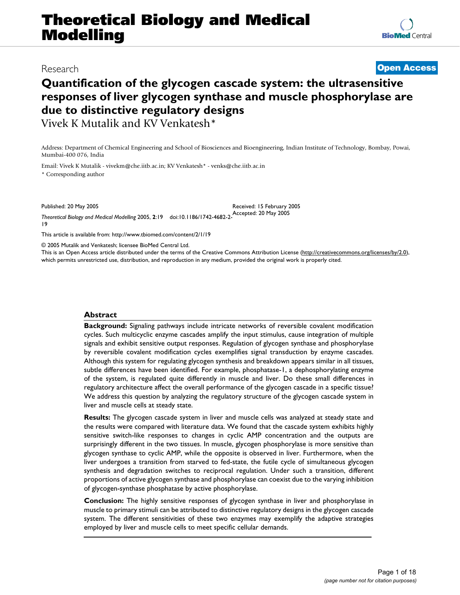# **Theoretical Biology and Medical Modelling**

# Research **[Open Access](http://www.biomedcentral.com/info/about/charter/)**

**[BioMed](http://www.biomedcentral.com/)** Central

# **Quantification of the glycogen cascade system: the ultrasensitive responses of liver glycogen synthase and muscle phosphorylase are due to distinctive regulatory designs** Vivek K Mutalik and KV Venkatesh\*

Address: Department of Chemical Engineering and School of Biosciences and Bioengineering, Indian Institute of Technology, Bombay, Powai, Mumbai-400 076, India

Email: Vivek K Mutalik - vivekm@che.iitb.ac.in; KV Venkatesh\* - venks@che.iitb.ac.in \* Corresponding author

Published: 20 May 2005

*Theoretical Biology and Medical Modelling* 2005, **2**:19 doi:10.1186/1742-4682-2- Accepted: 20 May 2005 19

[This article is available from: http://www.tbiomed.com/content/2/1/19](http://www.tbiomed.com/content/2/1/19)

© 2005 Mutalik and Venkatesh; licensee BioMed Central Ltd.

This is an Open Access article distributed under the terms of the Creative Commons Attribution License [\(http://creativecommons.org/licenses/by/2.0\)](http://creativecommons.org/licenses/by/2.0), which permits unrestricted use, distribution, and reproduction in any medium, provided the original work is properly cited.

Received: 15 February 2005

#### **Abstract**

**Background:** Signaling pathways include intricate networks of reversible covalent modification cycles. Such multicyclic enzyme cascades amplify the input stimulus, cause integration of multiple signals and exhibit sensitive output responses. Regulation of glycogen synthase and phosphorylase by reversible covalent modification cycles exemplifies signal transduction by enzyme cascades. Although this system for regulating glycogen synthesis and breakdown appears similar in all tissues, subtle differences have been identified. For example, phosphatase-1, a dephosphorylating enzyme of the system, is regulated quite differently in muscle and liver. Do these small differences in regulatory architecture affect the overall performance of the glycogen cascade in a specific tissue? We address this question by analyzing the regulatory structure of the glycogen cascade system in liver and muscle cells at steady state.

**Results:** The glycogen cascade system in liver and muscle cells was analyzed at steady state and the results were compared with literature data. We found that the cascade system exhibits highly sensitive switch-like responses to changes in cyclic AMP concentration and the outputs are surprisingly different in the two tissues. In muscle, glycogen phosphorylase is more sensitive than glycogen synthase to cyclic AMP, while the opposite is observed in liver. Furthermore, when the liver undergoes a transition from starved to fed-state, the futile cycle of simultaneous glycogen synthesis and degradation switches to reciprocal regulation. Under such a transition, different proportions of active glycogen synthase and phosphorylase can coexist due to the varying inhibition of glycogen-synthase phosphatase by active phosphorylase.

**Conclusion:** The highly sensitive responses of glycogen synthase in liver and phosphorylase in muscle to primary stimuli can be attributed to distinctive regulatory designs in the glycogen cascade system. The different sensitivities of these two enzymes may exemplify the adaptive strategies employed by liver and muscle cells to meet specific cellular demands.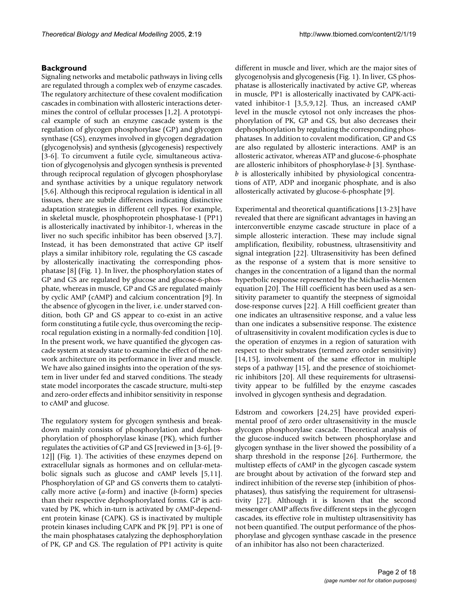# **Background**

Signaling networks and metabolic pathways in living cells are regulated through a complex web of enzyme cascades. The regulatory architecture of these covalent modification cascades in combination with allosteric interactions determines the control of cellular processes [1,2]. A prototypical example of such an enzyme cascade system is the regulation of glycogen phosphorylase (GP) and glycogen synthase (GS), enzymes involved in glycogen degradation (glycogenolysis) and synthesis (glycogenesis) respectively [3-6]. To circumvent a futile cycle, simultaneous activation of glycogenolysis and glycogen synthesis is prevented through reciprocal regulation of glycogen phosphorylase and synthase activities by a unique regulatory network [5,6]. Although this reciprocal regulation is identical in all tissues, there are subtle differences indicating distinctive adaptation strategies in different cell types. For example, in skeletal muscle, phosphoprotein phosphatase-1 (PP1) is allosterically inactivated by inhibitor-1, whereas in the liver no such specific inhibitor has been observed [3,7]. Instead, it has been demonstrated that active GP itself plays a similar inhibitory role, regulating the GS cascade by allosterically inactivating the corresponding phosphatase [8] (Fig. [1\)](#page-2-0). In liver, the phosphorylation states of GP and GS are regulated by glucose and glucose-6-phosphate, whereas in muscle, GP and GS are regulated mainly by cyclic AMP (cAMP) and calcium concentration [9]. In the absence of glycogen in the liver, i.e. under starved condition, both GP and GS appear to co-exist in an active form constituting a futile cycle, thus overcoming the reciprocal regulation existing in a normally-fed condition [10]. In the present work, we have quantified the glycogen cascade system at steady state to examine the effect of the network architecture on its performance in liver and muscle. We have also gained insights into the operation of the system in liver under fed and starved conditions. The steady state model incorporates the cascade structure, multi-step and zero-order effects and inhibitor sensitivity in response to cAMP and glucose.

The regulatory system for glycogen synthesis and breakdown mainly consists of phosphorylation and dephosphorylation of phosphorylase kinase (PK), which further regulates the activities of GP and GS [reviewed in [3-6], [9- 12]] (Fig. [1\)](#page-2-0). The activities of these enzymes depend on extracellular signals as hormones and on cellular-metabolic signals such as glucose and cAMP levels [5,11]. Phosphorylation of GP and GS converts them to catalytically more active (*a*-form) and inactive (*b*-form) species than their respective dephosphorylated forms. GP is activated by PK, which in-turn is activated by cAMP-dependent protein kinase (CAPK). GS is inactivated by multiple protein kinases including CAPK and PK [9]. PP1 is one of the main phosphatases catalyzing the dephosphorylation of PK, GP and GS. The regulation of PP1 activity is quite

different in muscle and liver, which are the major sites of glycogenolysis and glycogenesis (Fig. [1\)](#page-2-0). In liver, GS phosphatase is allosterically inactivated by active GP, whereas in muscle, PP1 is allosterically inactivated by CAPK-activated inhibitor-1 [3,5,9,12]. Thus, an increased cAMP level in the muscle cytosol not only increases the phosphorylation of PK, GP and GS, but also decreases their dephosphorylation by regulating the corresponding phosphatases. In addition to covalent modification, GP and GS are also regulated by allosteric interactions. AMP is an allosteric activator, whereas ATP and glucose-6-phosphate are allosteric inhibitors of phosphorylase-*b* [3]. Synthase*b* is allosterically inhibited by physiological concentrations of ATP, ADP and inorganic phosphate, and is also allosterically activated by glucose-6-phosphate [9].

Experimental and theoretical quantifications [13-23] have revealed that there are significant advantages in having an interconvertible enzyme cascade structure in place of a simple allosteric interaction. These may include signal amplification, flexibility, robustness, ultrasensitivity and signal integration [22]. Ultrasensitivity has been defined as the response of a system that is more sensitive to changes in the concentration of a ligand than the normal hyperbolic response represented by the Michaelis-Menten equation [20]. The Hill coefficient has been used as a sensitivity parameter to quantify the steepness of sigmoidal dose-response curves [22]. A Hill coefficient greater than one indicates an ultrasensitive response, and a value less than one indicates a subsensitive response. The existence of ultrasensitivity in covalent modification cycles is due to the operation of enzymes in a region of saturation with respect to their substrates (termed zero order sensitivity) [14,15], involvement of the same effector in multiple steps of a pathway [15], and the presence of stoichiometric inhibitors [20]. All these requirements for ultrasensitivity appear to be fulfilled by the enzyme cascades involved in glycogen synthesis and degradation.

Edstrom and coworkers [24,25] have provided experimental proof of zero order ultrasensitivity in the muscle glycogen phosphorylase cascade. Theoretical analysis of the glucose-induced switch between phosphorylase and glycogen synthase in the liver showed the possibility of a sharp threshold in the response [26]. Furthermore, the multistep effects of cAMP in the glycogen cascade system are brought about by activation of the forward step and indirect inhibition of the reverse step (inhibition of phosphatases), thus satisfying the requirement for ultrasensitivity [27]. Although it is known that the second messenger cAMP affects five different steps in the glycogen cascades, its effective role in multistep ultrasensitivity has not been quantified. The output performance of the phosphorylase and glycogen synthase cascade in the presence of an inhibitor has also not been characterized.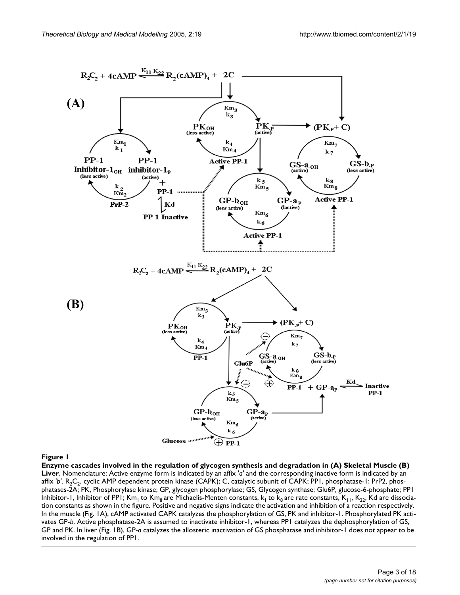<span id="page-2-0"></span>

#### Enzyme cascades involved in the regulation of glycogen **Figure 1** synthesis and degradation in (A) Skeletal Muscle (B) Liver

**Enzyme cascades involved in the regulation of glycogen synthesis and degradation in (A) Skeletal Muscle (B) Liver**. Nomenclature: Active enzyme form is indicated by an affix '*a'* and the corresponding inactive form is indicated by an affix 'b'. R<sub>2</sub>C<sub>2</sub>, cyclic AMP dependent protein kinase (CAPK); C, catalytic subunit of CAPK; PP1, phosphatase-1; PrP2, phosphatases-2A; PK, Phosphorylase kinase; GP, glycogen phosphorylase; GS, Glycogen synthase; Glu6P, glucose-6-phosphate; PP1 Inhibitor-1, Inhibitor of PP1; Km<sub>1</sub> to Km<sub>8</sub> are Michaelis-Menten constants,  $k_1$  to  $k_8$  are rate constants, K<sub>11</sub>, K<sub>22</sub>, Kd are dissociation constants as shown in the figure. Positive and negative signs indicate the activation and inhibition of a reaction respectively. In the muscle (Fig. 1A), cAMP activated CAPK catalyzes the phosphorylation of GS, PK and inhibitor-1. Phosphorylated PK activates GP-*b*. Active phosphatase-2A is assumed to inactivate inhibitor-1, whereas PP1 catalyzes the dephosphorylation of GS, GP and PK. In liver (Fig. 1B), GP-*a* catalyzes the allosteric inactivation of GS phosphatase and inhibitor-1 does not appear to be involved in the regulation of PP1.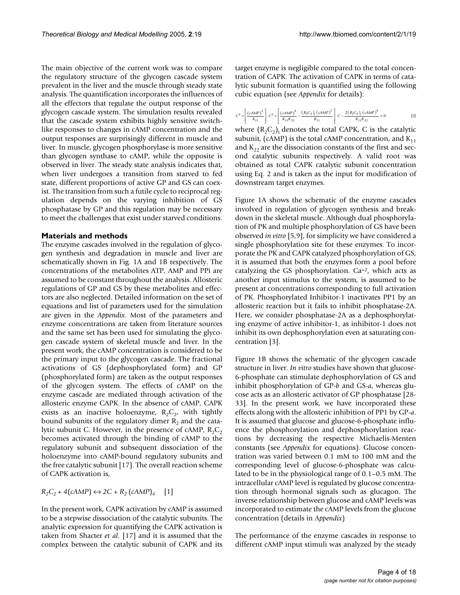The main objective of the current work was to compare the regulatory structure of the glycogen cascade system prevalent in the liver and the muscle through steady state analysis. The quantification incorporates the influences of all the effectors that regulate the output response of the glycogen cascade system. The simulation results revealed that the cascade system exhibits highly sensitive switchlike responses to changes in cAMP concentration and the output responses are surprisingly different in muscle and liver. In muscle, glycogen phosphorylase is more sensitive than glycogen synthase to cAMP, while the opposite is observed in liver. The steady state analysis indicates that, when liver undergoes a transition from starved to fed state, different proportions of active GP and GS can coexist. The transition from such a futile cycle to reciprocal regulation depends on the varying inhibition of GS phosphatase by GP and this regulation may be necessary to meet the challenges that exist under starved conditions.

#### **Materials and methods**

The enzyme cascades involved in the regulation of glycogen synthesis and degradation in muscle and liver are schematically shown in Fig. [1A](#page-2-0) and [1B](#page-2-0) respectively. The concentrations of the metabolites ATP, AMP and PPi are assumed to be constant throughout the analysis. Allosteric regulations of GP and GS by these metabolites and effectors are also neglected. Detailed information on the set of equations and list of parameters used for the simulation are given in the *Appendix.* Most of the parameters and enzyme concentrations are taken from literature sources and the same set has been used for simulating the glycogen cascade system of skeletal muscle and liver. In the present work, the cAMP concentration is considered to be the primary input to the glycogen cascade. The fractional activations of GS (dephosphorylated form) and GP (phosphorylated form) are taken as the output responses of the glycogen system. The effects of cAMP on the enzyme cascade are mediated through activation of the allosteric enzyme CAPK. In the absence of cAMP, CAPK exists as an inactive holoenzyme,  $R_2C_2$ , with tightly bound subunits of the regulatory dimer  $R_2$  and the catalytic subunit C. However, in the presence of cAMP,  $R_2C_2$ becomes activated through the binding of cAMP to the regulatory subunit and subsequent dissociation of the holoenzyme into cAMP-bound regulatory subunits and the free catalytic subunit [17]. The overall reaction scheme of CAPK activation is,

 $R_2C_2$  + 4(*cAMP*) ↔ 2C +  $R_2$  (*cAMP*)<sub>4</sub> [1]

In the present work, CAPK activation by cAMP is assumed to be a stepwise dissociation of the catalytic subunits. The analytic expression for quantifying the CAPK activation is taken from Shacter *et al.* [17] and it is assumed that the complex between the catalytic subunit of CAPK and its

target enzyme is negligible compared to the total concentration of CAPK. The activation of CAPK in terms of catalytic subunit formation is quantified using the following cubic equation (see *Appendix* for details):

$$
C^3 + \left[ \frac{\left( c \Delta M P \right)^2}{K_{11}} \right] \cdot C^2 + \left[ \frac{\left( c \Delta M P \right)^4}{K_{11} K_{22}} - \frac{\left( R_2 C_2 \right)_t \left( c \Delta M P \right)^2}{K_{11}} \right] \cdot C - \frac{2 \left( R_2 C_2 \right)_t \left( c \Delta M P \right)^4}{K_{11} K_{22}} = 0 \hspace{2.0in}\left[ 2 \right]
$$

where  $(R_2C_2)$ <sub>t</sub> denotes the total CAPK, C is the catalytic subunit, (cAMP) is the total cAMP concentration, and  $K_{11}$ and  $K_{22}$  are the dissociation constants of the first and second catalytic subunits respectively. A valid root was obtained as total CAPK catalytic subunit concentration using Eq. 2 and is taken as the input for modification of downstream target enzymes.

Figure [1](#page-2-0)A shows the schematic of the enzyme cascades involved in regulation of glycogen synthesis and breakdown in the skeletal muscle. Although dual phosphorylation of PK and multiple phosphorylation of GS have been observed *in vitro* [5,9], for simplicity we have considered a single phosphorylation site for these enzymes. To incorporate the PK and CAPK catalyzed phosphorylation of GS, it is assumed that both the enzymes form a pool before catalyzing the GS phosphorylation.  $Ca^{+2}$ , which acts as another input stimulus to the system, is assumed to be present at concentrations corresponding to full activation of PK. Phosphorylated Inhibitor-1 inactivates PP1 by an allosteric reaction but it fails to inhibit phosphatase-2A. Here, we consider phosphatase-2A as a dephosphorylating enzyme of active inhibitor-1, as inhibitor-1 does not inhibit its own dephosphorylation even at saturating concentration [3].

Figure [1](#page-2-0)B shows the schematic of the glycogen cascade structure in liver. *In vitro* studies have shown that glucose-6-phosphate can stimulate dephosphorylation of GS and inhibit phosphorylation of GP-*b* and GS-*a*, whereas glucose acts as an allosteric activator of GP phosphatase [28- 33]. In the present work, we have incorporated these effects along with the allosteric inhibition of PP1 by GP-*a*. It is assumed that glucose and glucose-6-phosphate influence the phosphorylation and dephosphorylation reactions by decreasing the respective Michaelis-Menten constants (see *Appendix* for equations). Glucose concentration was varied between 0.1 mM to 100 mM and the corresponding level of glucose-6-phosphate was calculated to be in the physiological range of 0.1–0.5 mM. The intracellular cAMP level is regulated by glucose concentration through hormonal signals such as glucagon. The inverse relationship between glucose and cAMP levels was incorporated to estimate the cAMP levels from the glucose concentration (details in *Appendix*)

The performance of the enzyme cascades in response to different cAMP input stimuli was analyzed by the steady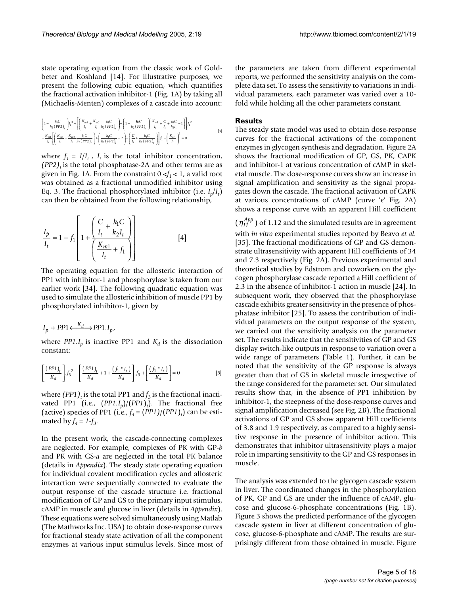state operating equation from the classic work of Goldbeter and Koshland [14]. For illustrative purposes, we present the following cubic equation, which quantifies the fractional activation inhibitor-1 (Fig. [1](#page-2-0)A) by taking all (Michaelis-Menten) complexes of a cascade into account:

$$
\begin{aligned} &\left(1-\frac{k_1C}{k_2\left(P^2\right)_t}\right)f_1^3+\left[\left(\frac{K_{m1}}{l_t}+\frac{K_{m2}}{l_t}\frac{k_1C}{k_2\left(P^2\right)_t}\right)+\left(1-\frac{k_1C}{k_2\left(P^2\right)_t}\right)\frac{K_{m1}}{l_t}+\frac{C}{l_t}+\frac{k_1C}{k_2l_t}-1\right]\right]f_1^2\\ &+\frac{K_{m1}}{l_t}\left[\left(\frac{K_{m1}}{l_t}+\frac{K_{m2}}{l_t}\frac{k_1C}{k_2\left(P^2\right)_t}\right)+\left(\frac{k_1C}{k_2\left(P^2\right)_t}-2\right)+\left(\frac{C}{l_t}+\frac{k_1C}{k_2\left(P^2\right)_t}\right)\right]f_1-\left(\frac{K_{m1}}{l_t}\right)^2=0\end{aligned} \tag{3}
$$

where  $f_1 = I/I_t$ ,  $I_t$  is the total inhibitor concentration,  $(PP2)_t$  is the total phosphatase-2A and other terms are as given in Fig. [1](#page-2-0)A. From the constraint  $0 \le f_1 < 1$ , a valid root was obtained as a fractional unmodified inhibitor using Eq. 3. The fractional phosphorylated inhibitor (i.e.  $I_p/I_t$ ) can then be obtained from the following relationship,

$$
\frac{I_p}{I_t} = 1 - f_1 \left[ 1 + \left( \frac{\frac{C}{I_t} + \frac{k_1 C}{k_2 I_t}}{\frac{K_{m1}}{I_t} + f_1} \right) \right]
$$
 [4]

The operating equation for the allosteric interaction of PP1 with inhibitor-1 and phosphorylase is taken from our earlier work [34]. The following quadratic equation was used to simulate the allosteric inhibition of muscle PP1 by phosphorylated inhibitor-1, given by

$$
I_p + PP1 \xleftarrow{K_d} PP1.I_p,
$$

where *PP1.I<sub>p</sub>* is inactive *PP1* and  $K_d$  is the dissociation constant:

$$
\left[\frac{(PP1)_t}{K_d}\right] f_3^2 - \left[\frac{(PP1)_t}{K_d} + 1 + \frac{(f_1 * I_t)}{K_d}\right] f_3 + \left[\frac{(f_1 * I_t)}{K_d}\right] = 0
$$
 [5]

where  $(PP1)_t$  is the total PP1 and  $f_3$  is the fractional inactivated PP1 (i.e., (*PP1.Ip*)/(*PP1*)*<sup>t</sup>* ). The fractional free (active) species of PP1 (i.e.,  $f_4 = (PP1)/(PP1)_t$ ) can be estimated by  $f_4 = 1 - f_3$ .

In the present work, the cascade-connecting complexes are neglected. For example, complexes of PK with GP-*b* and PK with GS-*a* are neglected in the total PK balance (details in *Appendix*). The steady state operating equation for individual covalent modification cycles and allosteric interaction were sequentially connected to evaluate the output response of the cascade structure i.e. fractional modification of GP and GS to the primary input stimulus, cAMP in muscle and glucose in liver (details in *Appendix*). These equations were solved simultaneously using Matlab (The Mathworks Inc. USA) to obtain dose-response curves for fractional steady state activation of all the component enzymes at various input stimulus levels. Since most of the parameters are taken from different experimental reports, we performed the sensitivity analysis on the complete data set. To assess the sensitivity to variations in individual parameters, each parameter was varied over a 10 fold while holding all the other parameters constant.

#### **Results**

The steady state model was used to obtain dose-response curves for the fractional activations of the component enzymes in glycogen synthesis and degradation. Figure [2A](#page-6-0) shows the fractional modification of GP, GS, PK, CAPK and inhibitor-1 at various concentration of cAMP in skeletal muscle. The dose-response curves show an increase in signal amplification and sensitivity as the signal propagates down the cascade. The fractional activation of CAPK at various concentrations of cAMP (curve 'e' Fig. [2A](#page-6-0)) shows a response curve with an apparent Hill coefficient

 $(\eta_H^{App})$  of 1.12 and the simulated results are in agreement with *in vitro* experimental studies reported by Beavo *et al.* [35]. The fractional modifications of GP and GS demonstrate ultrasensitivity with apparent Hill coefficients of 34 and 7.3 respectively (Fig. [2](#page-6-0)A). Previous experimental and theoretical studies by Edstrom and coworkers on the glycogen phosphorylase cascade reported a Hill coefficient of 2.3 in the absence of inhibitor-1 action in muscle [24]. In subsequent work, they observed that the phosphorylase cascade exhibits greater sensitivity in the presence of phosphatase inhibitor [25]. To assess the contribution of individual parameters on the output response of the system, we carried out the sensitivity analysis on the parameter set. The results indicate that the sensitivities of GP and GS display switch-like outputs in response to variation over a wide range of parameters (Table [1\)](#page-5-0). Further, it can be noted that the sensitivity of the GP response is always greater than that of GS in skeletal muscle irrespective of the range considered for the parameter set. Our simulated results show that, in the absence of PP1 inhibition by inhibitor-1, the steepness of the dose-response curves and signal amplification decreased (see Fig. [2](#page-6-0)B). The fractional activations of GP and GS show apparent Hill coefficients of 3.8 and 1.9 respectively, as compared to a highly sensitive response in the presence of inhibitor action. This demonstrates that inhibitor ultrasensitivity plays a major role in imparting sensitivity to the GP and GS responses in muscle.

The analysis was extended to the glycogen cascade system in liver. The coordinated changes in the phosphorylation of PK, GP and GS are under the influence of cAMP, glucose and glucose-6-phosphate concentrations (Fig. [1B](#page-2-0)). Figure 3 shows the predicted performance of the glycogen cascade system in liver at different concentration of glucose, glucose-6-phosphate and cAMP. The results are surprisingly different from those obtained in muscle. Figure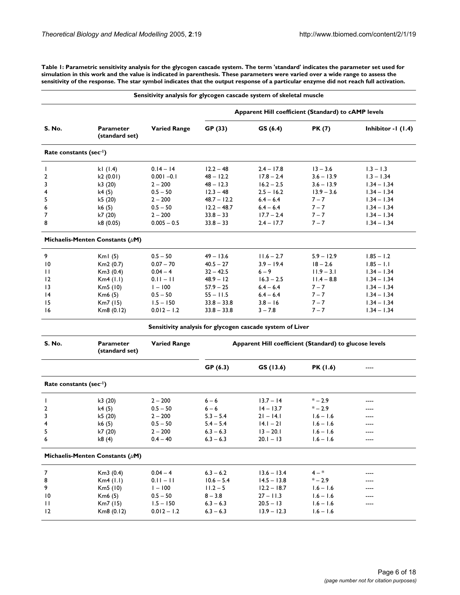<span id="page-5-0"></span>**Table 1: Parametric sensitivity analysis for the glycogen cascade system. The term 'standard' indicates the parameter set used for simulation in this work and the value is indicated in parenthesis. These parameters were varied over a wide range to assess the sensitivity of the response. The star symbol indicates that the output response of a particular enzyme did not reach full activation.**

| Sensitivity analysis for glycogen cascade system of skeletal muscle |                                       |                     |                                                        |                                                           |               |                     |
|---------------------------------------------------------------------|---------------------------------------|---------------------|--------------------------------------------------------|-----------------------------------------------------------|---------------|---------------------|
| S. No.                                                              | <b>Parameter</b><br>(standard set)    | <b>Varied Range</b> | Apparent Hill coefficient (Standard) to cAMP levels    |                                                           |               |                     |
|                                                                     |                                       |                     | GP (33)                                                | GS(6.4)                                                   | <b>PK (7)</b> | Inhibitor - I (1.4) |
| Rate constants (sec-1)                                              |                                       |                     |                                                        |                                                           |               |                     |
| $\mathbf{I}$                                                        | kl $(1.4)$                            | $0.14 - 14$         | $12.2 - 48$                                            | $2.4 - 17.8$                                              | $13 - 3.6$    | $1.3 - 1.3$         |
| $\overline{2}$                                                      | k2(0.01)                              | $0.001 - 0.1$       | $48 - 12.2$                                            | $17.8 - 2.4$                                              | $3.6 - 13.9$  | $1.3 - 1.34$        |
| 3                                                                   | k3 (20)                               | $2 - 200$           | $48 - 12.3$                                            | $16.2 - 2.5$                                              | $3.6 - 13.9$  | $1.34 - 1.34$       |
| 4                                                                   | k4 (5)                                | $0.5 - 50$          | $12.3 - 48$                                            | $2.5 - 16.2$                                              | $13.9 - 3.6$  | $1.34 - 1.34$       |
| 5                                                                   | k5 (20)                               | $2 - 200$           | $48.7 - 12.2$                                          | $6.4 - 6.4$                                               | $7 - 7$       | $1.34 - 1.34$       |
| 6                                                                   | k6 (5)                                | $0.5 - 50$          | $12.2 - 48.7$                                          | $6.4 - 6.4$                                               | $7 - 7$       | $1.34 - 1.34$       |
| 7                                                                   | k7 (20)                               | $2 - 200$           | $33.8 - 33$                                            | $17.7 - 2.4$                                              | $7 - 7$       | $1.34 - 1.34$       |
| 8                                                                   | k8 (0.05)                             | $0.005 - 0.5$       | $33.8 - 33$                                            | $2.4 - 17.7$                                              | $7 - 7$       | $1.34 - 1.34$       |
|                                                                     | Michaelis-Menten Constants ( $\mu$ M) |                     |                                                        |                                                           |               |                     |
| 9                                                                   | Kml(5)                                | $0.5 - 50$          | $49 - 13.6$                                            | $11.6 - 2.7$                                              | $5.9 - 12.9$  | $1.85 - 1.2$        |
| 10                                                                  | Km2(0.7)                              | $0.07 - 70$         | $40.5 - 27$                                            | $3.9 - 19.4$                                              | $18 - 2.6$    | $1.85 - 1.1$        |
| П                                                                   | Km3(0.4)                              | $0.04 - 4$          | $32 - 42.5$                                            | $6 - 9$                                                   | $11.9 - 3.1$  | $1.34 - 1.34$       |
| $\overline{2}$                                                      | Km4 (1.1)                             | $0.11 - 11$         | $48.9 - 12$                                            | $16.3 - 2.5$                                              | $11.4 - 8.8$  | $1.34 - 1.34$       |
| 13                                                                  | Km5 (10)                              | $1 - 100$           | $57.9 - 25$                                            | $6.4 - 6.4$                                               | $7 - 7$       | $1.34 - 1.34$       |
| 14                                                                  | Km6(5)                                | $0.5 - 50$          | $55 - 11.5$                                            | $6.4 - 6.4$                                               | $7 - 7$       | $1.34 - 1.34$       |
| 15                                                                  | Km7(15)                               | $1.5 - 150$         | $33.8 - 33.8$                                          | $3.8 - 16$                                                | $7 - 7$       | $1.34 - 1.34$       |
| 16                                                                  | Km8(0.12)                             | $0.012 - 1.2$       | $33.8 - 33.8$                                          | $3 - 7.8$                                                 | $7 - 7$       | $1.34 - 1.34$       |
|                                                                     |                                       |                     |                                                        | Sensitivity analysis for glycogen cascade system of Liver |               |                     |
| S. No.                                                              | Parameter<br>(standard set)           | <b>Varied Range</b> | Apparent Hill coefficient (Standard) to glucose levels |                                                           |               |                     |
|                                                                     |                                       |                     | GP (6.3)                                               | GS (13.6)                                                 | PK (1.6)      |                     |
| Rate constants (sec-1)                                              |                                       |                     |                                                        |                                                           |               |                     |
| J.                                                                  | k3 (20)                               | $2 - 200$           | $6 - 6$                                                | $13.7 - 14$                                               | $* - 2.9$     | ----                |
| $\overline{2}$                                                      | k4 (5)                                | $0.5 - 50$          | $6 - 6$                                                | $14 - 13.7$                                               | $* - 2.9$     | ----                |
| 3                                                                   | k5 (20)                               | $2 - 200$           | $5.3 - 5.4$                                            | $21 - 14.1$                                               | $1.6 - 1.6$   | ----                |
| 4                                                                   | k6 (5)                                | $0.5 - 50$          | $5.4 - 5.4$                                            | $ 4.1 - 2 $                                               | $1.6 - 1.6$   | ----                |
| 5                                                                   | k7 (20)                               | $2 - 200$           | $6.3 - 6.3$                                            | $13 - 20.1$                                               | $1.6 - 1.6$   | ----                |
| 6                                                                   | k8 (4)                                | $0.4 - 40$          | $6.3 - 6.3$                                            | $20.1 - 13$                                               | $1.6 - 1.6$   | ----                |
|                                                                     | Michaelis-Menten Constants ( $\mu$ M) |                     |                                                        |                                                           |               |                     |
| 7                                                                   | Km3(0.4)                              | $0.04 - 4$          | $6.3 - 6.2$                                            | $13.6 - 13.4$                                             | $4 - *$       |                     |
| 8                                                                   | Km4 (1.1)                             | $0.11 - 11$         | $10.6 - 5.4$                                           | $14.5 - 13.8$                                             | $* - 2.9$     |                     |
| 9.                                                                  | Km <sub>5</sub> (10)                  | $1 - 100$           | $11.2 - 5$                                             | $12.2 - 18.7$                                             | $1.6 - 1.6$   | ----                |
| 10                                                                  | Km6(5)                                | $0.5 - 50$          | $8 - 3.8$                                              | $27 - 11.3$                                               | $1.6 - 1.6$   | ----                |
| Ш                                                                   | Km7 (15)                              | $1.5 - 150$         | $6.3 - 6.3$                                            | $20.5 - 13$                                               | $1.6 - 1.6$   | ----                |
| 12                                                                  | Km8(0.12)                             | $0.012 - 1.2$       | $6.3 - 6.3$                                            | $13.9 - 12.3$                                             | $1.6 - 1.6$   |                     |
|                                                                     |                                       |                     |                                                        |                                                           |               |                     |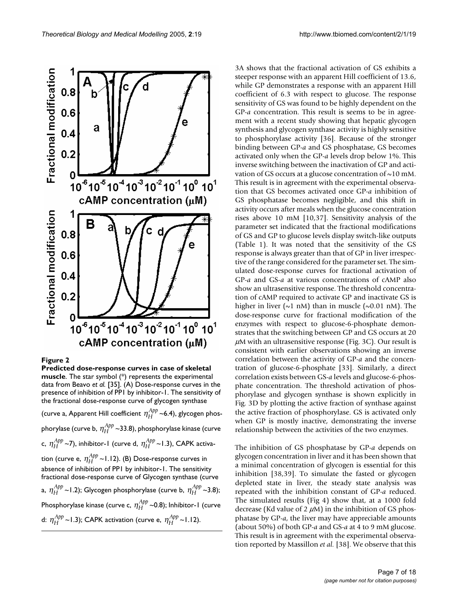<span id="page-6-0"></span>



**Predicted dose-response curves in case of skeletal muscle**. The star symbol (\*) represents the experimental data from Beavo *et al.* [35]. (A) Dose-response curves in the presence of inhibition of PP1 by inhibitor-1. The sensitivity of the fractional dose-response curve of glycogen synthase (curve a, Apparent Hill coefficient  $~\eta_{H}^{App}$  ~6.4), glycogen phosphorylase (curve b,  $\eta_H^{App}$  ~33.8), phosphorylase kinase (curve c,  $\eta_H^{App}$  ~7), inhibitor-1 (curve d,  $\eta_H^{App}$  ~1.3), CAPK activation (curve e,  $\eta^{App}_{H}$  ~1.12). (B) Dose-response curves in absence of inhibition of PP1 by inhibitor-1. The sensitivity fractional dose-response curve of Glycogen synthase (curve a,  $~\eta_{H}^{App}$  ~1.2); Glycogen phosphorylase (curve b,  $~\eta_{H}^{App}$  ~3.8); Phosphorylase kinase (curve c,  $\eta_H^{App}$  ~0.8); Inhibitor-1 (curve d:  $\eta_H^{App}$  ~1.3); CAPK activation (curve e,  $\eta_H^{App}$  ~1.12).

3A shows that the fractional activation of GS exhibits a steeper response with an apparent Hill coefficient of 13.6, while GP demonstrates a response with an apparent Hill coefficient of 6.3 with respect to glucose. The response sensitivity of GS was found to be highly dependent on the GP-*a* concentration. This result is seems to be in agreement with a recent study showing that hepatic glycogen synthesis and glycogen synthase activity is highly sensitive to phosphorylase activity [36]. Because of the stronger binding between GP-*a* and GS phosphatase, GS becomes activated only when the GP-*a* levels drop below 1%. This inverse switching between the inactivation of GP and activation of GS occurs at a glucose concentration of  $\sim$ 10 mM. This result is in agreement with the experimental observation that GS becomes activated once GP-*a* inhibition of GS phosphatase becomes negligible, and this shift in activity occurs after meals when the glucose concentration rises above 10 mM [10,37]. Sensitivity analysis of the parameter set indicated that the fractional modifications of GS and GP to glucose levels display switch-like outputs (Table [1](#page-5-0)). It was noted that the sensitivity of the GS response is always greater than that of GP in liver irrespective of the range considered for the parameter set. The simulated dose-response curves for fractional activation of GP-*a* and GS-*a* at various concentrations of cAMP also show an ultrasensitive response. The threshold concentration of cAMP required to activate GP and inactivate GS is higher in liver ( $\sim$ 1 nM) than in muscle ( $\sim$ 0.01 nM). The dose-response curve for fractional modification of the enzymes with respect to glucose-6-phosphate demonstrates that the switching between GP and GS occurs at 20  $\mu$ M with an ultrasensitive response (Fig. 3C). Our result is consistent with earlier observations showing an inverse correlation between the activity of GP-*a* and the concentration of glucose-6-phosphate [33]. Similarly, a direct correlation exists between GS-*a* levels and glucose-6-phosphate concentration. The threshold activation of phosphorylase and glycogen synthase is shown explicitly in Fig. 3D by plotting the active fraction of synthase against the active fraction of phosphorylase. GS is activated only when GP is mostly inactive, demonstrating the inverse relationship between the activities of the two enzymes.

The inhibition of GS phosphatase by GP-*a* depends on glycogen concentration in liver and it has been shown that a minimal concentration of glycogen is essential for this inhibition [38,39]. To simulate the fasted or glycogen depleted state in liver, the steady state analysis was repeated with the inhibition constant of GP-*a* reduced. The simulated results (Fig 4) show that, at a 1000 fold decrease (Kd value of 2  $\mu$ M) in the inhibition of GS phosphatase by GP-*a*, the liver may have appreciable amounts (about 50%) of both GP-*a* and GS-*a* at 4 to 9 mM glucose. This result is in agreement with the experimental observation reported by Massillon *et al.* [38]. We observe that this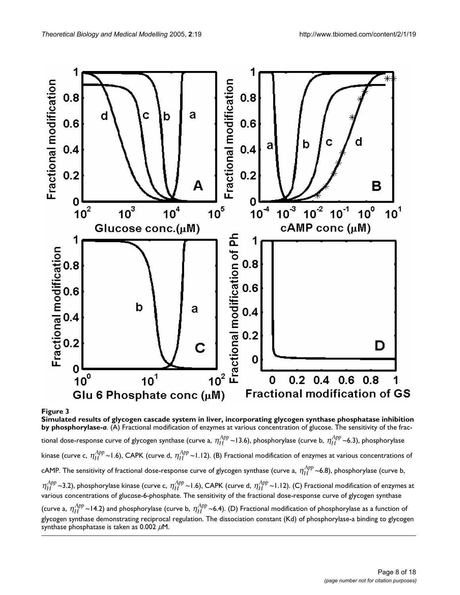

# Simulated results of glycogen cascade system in liver, incorpor *a***Figure 3** ating glycogen synthase phosphatase inhibition by phosphorylase-

**Simulated results of glycogen cascade system in liver, incorporating glycogen synthase phosphatase inhibition by phosphorylase-***a*. (A) Fractional modification of enzymes at various concentration of glucose. The sensitivity of the fractional dose-response curve of glycogen synthase (curve a,  $\eta_H^{App}$  ~13.6), phosphorylase (curve b,  $\eta_H^{App}$  ~6.3), phosphorylase kinase (curve c,  $\eta_H^{App}$  ~1.6), CAPK (curve d,  $\eta_H^{App}$  ~1.12). (B) Fractional modification of enzymes at various concentrations of cAMP. The sensitivity of fractional dose-response curve of glycogen synthase (curve a,  $\eta_H^{App}$  ~6.8), phosphorylase (curve b,  $\eta_H^{App}$  ~3.2), phosphorylase kinase (curve c,  $\eta_H^{App}$  ~1.6), CAPK (curve d,  $\eta_H^{App}$  ~1.12). (C) Fractional modification of enzymes at various concentrations of glucose-6-phosphate. The sensitivity of the fractional dose-response curve of glycogen synthase (curve a,  $~\eta_H^{App}$  ~14.2) and phosphorylase (curve b,  $~\eta_H^{App}$  ~6.4). (D) Fractional modification of phosphorylase as a function of glycogen synthase demonstrating reciprocal regulation. The dissociation constant (Kd) of phosphorylase-a binding to glycogen synthase phosphatase is taken as 0.002  $\mu$ M.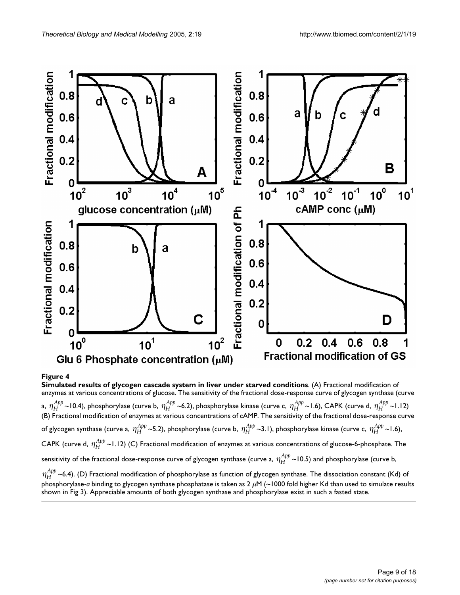

#### $$

**Simulated results of glycogen cascade system in liver under starved conditions**. (A) Fractional modification of enzymes at various concentrations of glucose. The sensitivity of the fractional dose-response curve of glycogen synthase (curve a,  $\eta_{H}^{\alpha\mu\rho}$  ~10.4), phosphorylase (curve b,  $\eta_{H}^{\alpha\mu\rho}$  ~6.2), phosphorylase kinase (curve c,  $\eta_{H}^{\alpha\mu\rho}$  ~1.6), CAPK (curve d,  $\eta_{H}^{\alpha\mu\rho}$  ~1.12) (B) Fractional modification of enzymes at various concentrations of cAMP. The sensitivity of the fractional dose-response curve of glycogen synthase (curve a,  $\eta_H^{App}$  ~5.2), phosphorylase (curve b,  $\eta_H^{App}$  ~3.1), phosphorylase kinase (curve c,  $\eta_H^{App}$  ~1.6), CAPK (curve d,  $\eta_H^{App}$  ~1.12) (C) Fractional modification of enzymes at various concentrations of glucose-6-phosphate. The sensitivity of the fractional dose-response curve of glycogen synthase (curve a,  $\eta_H^{App}$  ~10.5) and phosphorylase (curve b,  $\eta_H^{App}$  ~6.4). (D) Fractional modification of phosphorylase as function of glycogen synthase. The dissociation constant (Kd) of phosphorylase-*a* binding to glycogen synthase phosphatase is taken as 2 µM (~1000 fold higher Kd than used to simulate results shown in Fig 3). Appreciable amounts of both glycogen synthase and phosphorylase exist in such a fasted state.  $\eta_H^{App}$  ~10.4), phosphorylase (curve b,  $\eta_H^{App}$  ~6.2), phosphorylase kinase (curve c,  $\eta_H^{App}$  ~1.6), CAPK (curve d,  $\eta_H^{App}$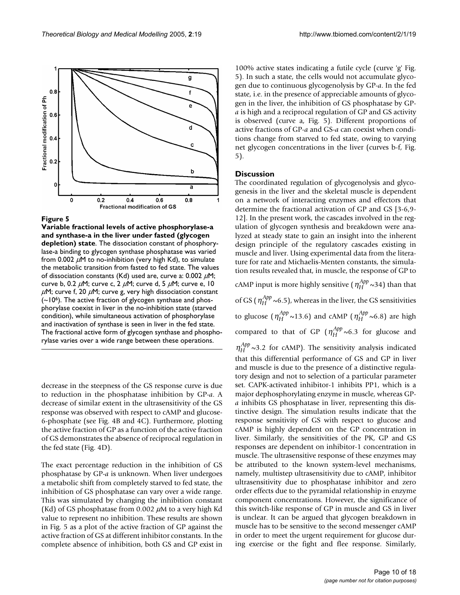

Figure 5

**Variable fractional levels of active phosphorylase-a and synthase-a in the liver under fasted (glycogen depletion) state**. The dissociation constant of phosphorylase-a binding to glycogen synthase phosphatase was varied from 0.002  $\mu$ M to no-inhibition (very high Kd), to simulate the metabolic transition from fasted to fed state. The values of dissociation constants (Kd) used are, curve a: 0.002  $\mu$ M; curve b, 0.2  $\mu$ M; curve c, 2  $\mu$ M; curve d, 5  $\mu$ M; curve e, 10  $\mu$ M; curve f, 20  $\mu$ M; curve g, very high dissociation constant  $(-10<sup>6</sup>)$ . The active fraction of glycogen synthase and phosphorylase coexist in liver in the no-inhibition state (starved condition), while simultaneous activation of phosphorylase and inactivation of synthase is seen in liver in the fed state. The fractional active form of glycogen synthase and phosphorylase varies over a wide range between these operations.

decrease in the steepness of the GS response curve is due to reduction in the phosphatase inhibition by GP-*a*. A decrease of similar extent in the ultrasensitivity of the GS response was observed with respect to cAMP and glucose-6-phosphate (see Fig. 4B and 4C). Furthermore, plotting the active fraction of GP as a function of the active fraction of GS demonstrates the absence of reciprocal regulation in the fed state (Fig. 4D).

The exact percentage reduction in the inhibition of GS phosphatase by GP-*a* is unknown. When liver undergoes a metabolic shift from completely starved to fed state, the inhibition of GS phosphatase can vary over a wide range. This was simulated by changing the inhibition constant (Kd) of GS phosphatase from 0.002  $\mu$ M to a very high Kd value to represent no inhibition. These results are shown in Fig. 5 as a plot of the active fraction of GP against the active fraction of GS at different inhibitor constants. In the complete absence of inhibition, both GS and GP exist in

100% active states indicating a futile cycle (curve 'g' Fig. 5). In such a state, the cells would not accumulate glycogen due to continuous glycogenolysis by GP-*a*. In the fed state, i.e. in the presence of appreciable amounts of glycogen in the liver, the inhibition of GS phosphatase by GP*a* is high and a reciprocal regulation of GP and GS activity is observed (curve a, Fig. 5). Different proportions of active fractions of GP-*a* and GS-*a* can coexist when conditions change from starved to fed state, owing to varying net glycogen concentrations in the liver (curves b-f, Fig. 5).

#### **Discussion**

The coordinated regulation of glycogenolysis and glycogenesis in the liver and the skeletal muscle is dependent on a network of interacting enzymes and effectors that determine the fractional activation of GP and GS [3-6,9- 12]. In the present work, the cascades involved in the regulation of glycogen synthesis and breakdown were analyzed at steady state to gain an insight into the inherent design principle of the regulatory cascades existing in muscle and liver. Using experimental data from the literature for rate and Michaelis-Menten constants, the simulation results revealed that, in muscle, the response of GP to cAMP input is more highly sensitive ( $\eta_H^{App} \sim 34$ ) than that of GS ( $\eta_H^{App} \sim 6.5$ ), whereas in the liver, the GS sensitivities to glucose  $(\eta_H^{App} \sim 13.6)$  and cAMP  $(\eta_H^{App} \sim 6.8)$  are high compared to that of GP  $(\eta_H^{App} \sim 6.3$  for glucose and  $\eta_H^{App} \sim 3.2$  for cAMP). The sensitivity analysis indicated that this differential performance of GS and GP in liver and muscle is due to the presence of a distinctive regulatory design and not to selection of a particular parameter set. CAPK-activated inhibitor-1 inhibits PP1, which is a major dephosphorylating enzyme in muscle, whereas GP*a* inhibits GS phosphatase in liver, representing this distinctive design. The simulation results indicate that the response sensitivity of GS with respect to glucose and cAMP is highly dependent on the GP concentration in liver. Similarly, the sensitivities of the PK, GP and GS responses are dependent on inhibitor-1 concentration in muscle. The ultrasensitive response of these enzymes may be attributed to the known system-level mechanisms, namely, multistep ultrasensitivity due to cAMP, inhibitor ultrasensitivity due to phosphatase inhibitor and zero order effects due to the pyramidal relationship in enzyme component concentrations. However, the significance of this switch-like response of GP in muscle and GS in liver is unclear. It can be argued that glycogen breakdown in muscle has to be sensitive to the second messenger cAMP in order to meet the urgent requirement for glucose during exercise or the fight and flee response. Similarly,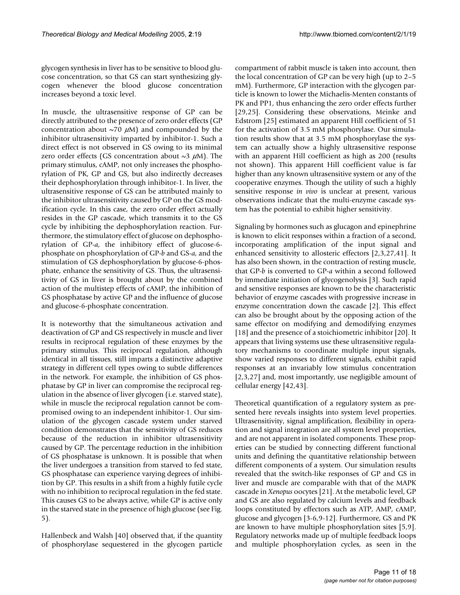glycogen synthesis in liver has to be sensitive to blood glucose concentration, so that GS can start synthesizing glycogen whenever the blood glucose concentration increases beyond a toxic level.

In muscle, the ultrasensitive response of GP can be directly attributed to the presence of zero order effects (GP concentration about  $\sim$ 70  $\mu$ M) and compounded by the inhibitor ultrasensitivity imparted by inhibitor-1. Such a direct effect is not observed in GS owing to its minimal zero order effects (GS concentration about  $\sim$ 3  $\mu$ M). The primary stimulus, cAMP, not only increases the phosphorylation of PK, GP and GS, but also indirectly decreases their dephosphorylation through inhibitor-1. In liver, the ultrasensitive response of GS can be attributed mainly to the inhibitor ultrasensitivity caused by GP on the GS modification cycle. In this case, the zero order effect actually resides in the GP cascade, which transmits it to the GS cycle by inhibiting the dephosphorylation reaction. Furthermore, the stimulatory effect of glucose on dephosphorylation of GP-*a*, the inhibitory effect of glucose-6 phosphate on phosphorylation of GP-*b* and GS-*a*, and the stimulation of GS dephosphorylation by glucose-6-phosphate, enhance the sensitivity of GS. Thus, the ultrasensitivity of GS in liver is brought about by the combined action of the multistep effects of cAMP, the inhibition of GS phosphatase by active GP and the influence of glucose and glucose-6-phosphate concentration.

It is noteworthy that the simultaneous activation and deactivation of GP and GS respectively in muscle and liver results in reciprocal regulation of these enzymes by the primary stimulus. This reciprocal regulation, although identical in all tissues, still imparts a distinctive adaptive strategy in different cell types owing to subtle differences in the network. For example, the inhibition of GS phosphatase by GP in liver can compromise the reciprocal regulation in the absence of liver glycogen (i.e. starved state), while in muscle the reciprocal regulation cannot be compromised owing to an independent inhibitor-1. Our simulation of the glycogen cascade system under starved condition demonstrates that the sensitivity of GS reduces because of the reduction in inhibitor ultrasensitivity caused by GP. The percentage reduction in the inhibition of GS phosphatase is unknown. It is possible that when the liver undergoes a transition from starved to fed state, GS phosphatase can experience varying degrees of inhibition by GP. This results in a shift from a highly futile cycle with no inhibition to reciprocal regulation in the fed state. This causes GS to be always active, while GP is active only in the starved state in the presence of high glucose (see Fig. 5).

Hallenbeck and Walsh [[40\]](#page-16-0) observed that, if the quantity of phosphorylase sequestered in the glycogen particle compartment of rabbit muscle is taken into account, then the local concentration of GP can be very high (up to 2–5 mM). Furthermore, GP interaction with the glycogen particle is known to lower the Michaelis-Menten constants of PK and PP1, thus enhancing the zero order effects further [29,25]. Considering these observations, Meinke and Edstrom [25] estimated an apparent Hill coefficient of 51 for the activation of 3.5 mM phosphorylase. Our simulation results show that at 3.5 mM phosphorylase the system can actually show a highly ultrasensitive response with an apparent Hill coefficient as high as 200 (results not shown). This apparent Hill coefficient value is far higher than any known ultrasensitive system or any of the cooperative enzymes. Though the utility of such a highly sensitive response *in vivo* is unclear at present, various observations indicate that the multi-enzyme cascade system has the potential to exhibit higher sensitivity.

Signaling by hormones such as glucagon and epinephrine is known to elicit responses within a fraction of a second, incorporating amplification of the input signal and enhanced sensitivity to allosteric effectors [2,3,27,41]. It has also been shown, in the contraction of resting muscle, that GP-*b* is converted to GP-*a* within a second followed by immediate initiation of glycogenolysis [3]. Such rapid and sensitive responses are known to be the characteristic behavior of enzyme cascades with progressive increase in enzyme concentration down the cascade [2]. This effect can also be brought about by the opposing action of the same effector on modifying and demodifying enzymes [18] and the presence of a stoichiometric inhibitor [20]. It appears that living systems use these ultrasensitive regulatory mechanisms to coordinate multiple input signals, show varied responses to different signals, exhibit rapid responses at an invariably low stimulus concentration [2,3,27] and, most importantly, use negligible amount of cellular energy [42,43].

Theoretical quantification of a regulatory system as presented here reveals insights into system level properties. Ultrasensitivity, signal amplification, flexibility in operation and signal integration are all system level properties, and are not apparent in isolated components. These properties can be studied by connecting different functional units and defining the quantitative relationship between different components of a system. Our simulation results revealed that the switch-like responses of GP and GS in liver and muscle are comparable with that of the MAPK cascade in *Xenopus* oocytes [21]. At the metabolic level, GP and GS are also regulated by calcium levels and feedback loops constituted by effectors such as ATP, AMP, cAMP, glucose and glycogen [3-6,9-12]. Furthermore, GS and PK are known to have multiple phosphorylation sites [5,9]. Regulatory networks made up of multiple feedback loops and multiple phosphorylation cycles, as seen in the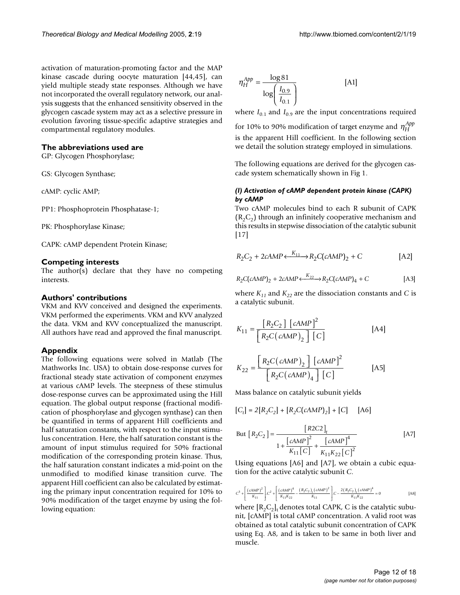activation of maturation-promoting factor and the MAP kinase cascade during oocyte maturation [44,45], can yield multiple steady state responses. Although we have not incorporated the overall regulatory network, our analysis suggests that the enhanced sensitivity observed in the glycogen cascade system may act as a selective pressure in evolution favoring tissue-specific adaptive strategies and compartmental regulatory modules.

#### **The abbreviations used are**

GP: Glycogen Phosphorylase;

GS: Glycogen Synthase;

cAMP: cyclic AMP;

PP1: Phosphoprotein Phosphatase-1;

PK: Phosphorylase Kinase;

CAPK: cAMP dependent Protein Kinase;

#### **Competing interests**

The author(s) declare that they have no competing interests.

#### **Authors' contributions**

VKM and KVV conceived and designed the experiments. VKM performed the experiments. VKM and KVV analyzed the data. VKM and KVV conceptualized the manuscript. All authors have read and approved the final manuscript.

#### **Appendix**

The following equations were solved in Matlab (The Mathworks Inc. USA) to obtain dose-response curves for fractional steady state activation of component enzymes at various cAMP levels. The steepness of these stimulus dose-response curves can be approximated using the Hill equation. The global output response (fractional modification of phosphorylase and glycogen synthase) can then be quantified in terms of apparent Hill coefficients and half saturation constants, with respect to the input stimulus concentration. Here, the half saturation constant is the amount of input stimulus required for 50% fractional modification of the corresponding protein kinase. Thus, the half saturation constant indicates a mid-point on the unmodified to modified kinase transition curve. The apparent Hill coefficient can also be calculated by estimating the primary input concentration required for 10% to 90% modification of the target enzyme by using the following equation:

$$
\eta_H^{App} = \frac{\log 81}{\log \left(\frac{I_{0.9}}{I_{0.1}}\right)} \tag{A1}
$$

where  $I_{0,1}$  and  $I_{0,9}$  are the input concentrations required

for 10% to 90% modification of target enzyme and  $\eta_H^{App}$ is the apparent Hill coefficient. In the following section we detail the solution strategy employed in simulations.

The following equations are derived for the glycogen cascade system schematically shown in Fig [1](#page-2-0).

#### *(I) Activation of cAMP dependent protein kinase (CAPK) by cAMP*

Two cAMP molecules bind to each R subunit of CAPK  $(R_2C_2)$  through an infinitely cooperative mechanism and this results in stepwise dissociation of the catalytic subunit [17]

$$
R_2C_2 + 2cAMP \xleftarrow{K_{11}} R_2C(cAMP)_2 + C
$$
 [A2]

$$
R_2C(cAMP)_2 + 2cAMP \xleftarrow{K_{22}} R_2C(cAMP)_4 + C
$$
 [A3]

where  $K_{11}$  and  $K_{22}$  are the dissociation constants and *C* is a catalytic subunit.

$$
K_{11} = \frac{[R_2C_2] [cAMP]^2}{[R_2C(cAMP)_2] [C]}
$$
 [A4]

$$
K_{22} = \frac{\left[R_2C(cAMP)_2\right]\left[cAMP\right]^2}{\left[R_2C(cAMP)_4\right]\left[C\right]}
$$
 [A5]

Mass balance on catalytic subunit yields

$$
[C_t] = 2[R_2C_2] + [R_2C(cAMP)_2] + [C] \quad [A6]
$$

But 
$$
[R_2C_2] = \frac{[R2C2]_t}{1 + \frac{[cAMP]^2}{K_{11}[C]} + \frac{[cAMP]^4}{K_{11}K_{22}[C]^2}}
$$
 [A7]

Using equations [A6] and [A7], we obtain a cubic equation for the active catalytic subunit *C*.

$$
C^3+\left[\frac{\left(c\Delta MP\right)^2}{K_{11}}\right]C^2+\left[\frac{\left(c\Delta MP\right)^4}{K_{11}K_{22}}-\frac{\left(R_2C_2\right)_t\left(c\Delta MP\right)^2}{K_{11}}\right]C-\frac{2\left(R_2C_2\right)_t\left(c\Delta MP\right)^4}{K_{11}K_{22}}=0 \hspace{1.0in}\left[\text{AS}\right]
$$

where  $[R_2C_2]_t$  denotes total CAPK, C is the catalytic subunit, [cAMP] is total cAMP concentration. A valid root was obtained as total catalytic subunit concentration of CAPK using Eq. A8, and is taken to be same in both liver and muscle.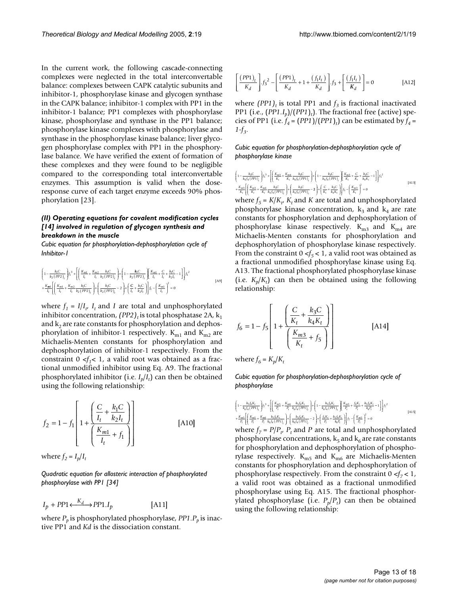In the current work, the following cascade-connecting complexes were neglected in the total interconvertable balance: complexes between CAPK catalytic subunits and inhibitor-1, phosphorylase kinase and glycogen synthase in the CAPK balance; inhibitor-1 complex with PP1 in the inhibitor-1 balance; PP1 complexes with phosphorylase kinase, phosphorylase and synthase in the PP1 balance; phosphorylase kinase complexes with phosphorylase and synthase in the phosphorylase kinase balance; liver glycogen phosphorylase complex with PP1 in the phosphorylase balance. We have verified the extent of formation of these complexes and they were found to be negligible compared to the corresponding total interconvertable enzymes. This assumption is valid when the doseresponse curve of each target enzyme exceeds 90% phosphorylation [23].

### *(II) Operating equations for covalent modification cycles [14] involved in regulation of glycogen synthesis and breakdown in the muscle*

*Cubic equation for phosphorylation-dephosphorylation cycle of Inhibitor-1*

$$
\begin{aligned} &\left(1-\frac{k_{1}C}{k_{2}\left(PP2\right)_{t}}\right)f_{1}{}^{3}+\left[\left(\frac{K_{m1}}{I_{t}}+\frac{K_{m2}}{I_{t}}\frac{k_{1}C}{k_{2}\left(PP2\right)_{t}}\right)+\left(1-\frac{k_{1}C}{k_{2}\left(PP2\right)_{t}}\right)\left[\frac{K_{m1}}{I_{t}}+\frac{C}{I_{t}}+\frac{k_{1}C}{k_{2}I_{t}}-1\right]\right]f_{1}{}^{2}\\ &+\frac{K_{m1}}{I_{t}}\left[\left(\frac{K_{m1}}{I_{t}}+\frac{K_{m2}}{I_{t}}\frac{k_{1}C}{k_{2}\left(PP2\right)_{t}}\right)+\left(\frac{k_{1}C}{k_{2}\left(PP2\right)_{t}}-2\right)+\left(\frac{C}{I_{t}}+\frac{k_{1}C}{k_{2}I_{t}}\right)\right]f_{1}-\left(\frac{K_{m1}}{I_{t}}\right)^{2}=0\end{aligned} \tag{A9}
$$

where  $f_1 = I/I_t$ ,  $I_t$  and *I* are total and unphosphorylated inhibitor concentration,  $(PP2)_t$  is total phosphatase 2A,  $k_1$ and  $k<sub>2</sub>$  are rate constants for phosphorylation and dephosphorylation of inhibitor-1 respectively.  $K_{m1}$  and  $K_{m2}$  are Michaelis-Menten constants for phosphorylation and dephosphorylation of inhibitor-1 respectively. From the constraint  $0 \le f_1 < 1$ , a valid root was obtained as a fractional unmodified inhibitor using Eq. A9. The fractional phosphorylated inhibitor (i.e. *I<sub>p</sub>*/*I*<sub>t</sub>) can then be obtained using the following relationship:

$$
f_2 = 1 - f_1 \left[ 1 + \frac{\left(\frac{C}{I_t} + \frac{k_1 C}{k_2 I_t}\right)}{\left(\frac{K_{m1}}{I_t} + f_1\right)} \right]
$$
 [A10]

where  $f_2 = I_p/I_t$ 

#### *Quadratic equation for allosteric interaction of phosphorylated phosphorylase with PP1 [34]*

$$
I_p + PP1 \xleftarrow{K_d} PP1.I_p \qquad [A11]
$$

where  $P_p$  is phosphorylated phosphorylase, *PP1.* $P_p$  is inactive PP1 and *Kd* is the dissociation constant.

$$
\left[\frac{(PP1)_t}{K_d}\right].f_3^2 - \left[\frac{(PP1)_t}{K_d} + 1 + \frac{(f_1I_t)}{K_d}\right].f_3 + \left[\frac{(f_1I_t)}{K_d}\right] = 0
$$
 [A12]

where  $(PPI)_t$  is total PP1 and  $f_3$  is fractional inactivated PP1 (i.e., (*PP1.Ip*)/(*PP1*)*<sup>t</sup>* ). The fractional free (active) species of PP1 (i.e.  $f_4 = (PP1)/(PP1)_t$ ) can be estimated by  $f_4 =$  $1-f_3$ .

## *Cubic equation for phosphorylation-dephosphorylation cycle of phosphorylase kinase*

$$
\begin{cases} 1 - \frac{k_3 C}{k_4 f_4 \left( PP1 \right)_l} \int_5^{2.3} + \left[ \left( \frac{K_{m3}}{K_l} + \frac{K_{m4}}{K_l} - \frac{k_3 C}{k_4 f_4 \left( PP1 \right)_l} \right) + \left( 1 - \frac{k_3 C}{k_4 f_4 \left( PP1 \right)_l} \right) \left( \frac{K_{m3}}{K_l} + \frac{C}{K_l} + \frac{k_3 C}{k_4 K_l} - 1 \right] \right] f_2^2 \\ + \frac{K_{m3}}{K_l} \left[ \left( \frac{K_{m3}}{K_l} + \frac{K_{m4}}{K_l} - \frac{k_3 C}{k_4 f_4 \left( PP1 \right)_l} \right) + \left( \frac{k_3 C}{k_4 f_4 \left( PP1 \right)_l} - 2 \right) + \left( \frac{C}{K_l} + \frac{k_3 C}{k_4 K_l} \right) \right] f_5 - \left( \frac{K_{m3}}{K_l} \right)^2 = 0 \end{cases} \tag{A13}
$$

where  $f_5 = K/K_t$ , *K*<sub>t</sub> and *K* are total and unphosphorylated phosphorylase kinase concentration,  $k_3$  and  $k_4$  are rate constants for phosphorylation and dephosphorylation of phosphorylase kinase respectively.  $K_{m3}$  and  $K_{m4}$  are Michaelis-Menten constants for phosphorylation and dephosphorylation of phosphorylase kinase respectively. From the constraint  $0 < f<sub>5</sub> < 1$ , a valid root was obtained as a fractional unmodified phosphorylase kinase using Eq. A13. The fractional phosphorylated phosphorylase kinase (i.e.  $K_p/K_t$ ) can then be obtained using the following relationship:

$$
f_6 = 1 - f_5 \left[ 1 + \frac{\left(\frac{C}{K_t} + \frac{k_3 C}{k_4 K_t}\right)}{\left(\frac{K_{m3}}{K_t} + f_5\right)} \right]
$$
 [A14]

where  $f_6 = K_p/K_t$ 

#### *Cubic equation for phosphorylation-dephosphorylation cycle of phosphorylase*

$$
\begin{cases} 1 - \frac{k_5 f_6 K_I}{k_6 f_4 \left( PP1\right)_t} \left|f_j^{5.3} + \left[ \left( \frac{K_{m5}}{P_i} + \frac{K_{m6}}{P_i} \frac{k_5 f_6 K_I}{k_6 f_4 \left( PP1\right)_t} \right) + \left( 1 - \frac{k_5 f_6 K_I}{k_6 f_4 \left( PP1\right)_t} \right) \frac{K_{m5}}{P_i} + \frac{f_6 K_I}{P_i} + \frac{k_5 f_6 K_I}{k_6 P_i} - 1 \right] \right] f_j^{-2} \\ + \frac{K_{m5}}{P_i} \left[ \left( \frac{K_{m5}}{P_i} + \frac{K_{m6}}{P_i} \frac{k_5 f_6 K_I}{k_6 f_4 \left( PP1\right)_t} \right) + \left( \frac{k_5 f_6 K_I}{k_6 f_4 \left( PP1\right)_t} - 2 \right) + \left( \frac{f_6 K_I}{P_i} + \frac{k_5 f_6 K_I}{k_6 P_i} \right) \right] f_j - \left( \frac{K_{m5}}{P_i} \right)^2 = 0 \end{cases} \tag{A15}
$$

where  $f_7 = P/P_t$ ,  $P_t$  and  $P$  are total and unphosphorylated phosphorylase concentrations,  $k_5$  and  $k_6$  are rate constants for phosphorylation and dephosphorylation of phosphorylase respectively.  $K_{m5}$  and  $K_{m6}$  are Michaelis-Menten constants for phosphorylation and dephosphorylation of phosphorylase respectively. From the constraint  $0 < f<sub>7</sub> < 1$ , a valid root was obtained as a fractional unmodified phosphorylase using Eq. A15. The fractional phosphorylated phosphorylase (i.e. *Pp*/*Pt* ) can then be obtained using the following relationship: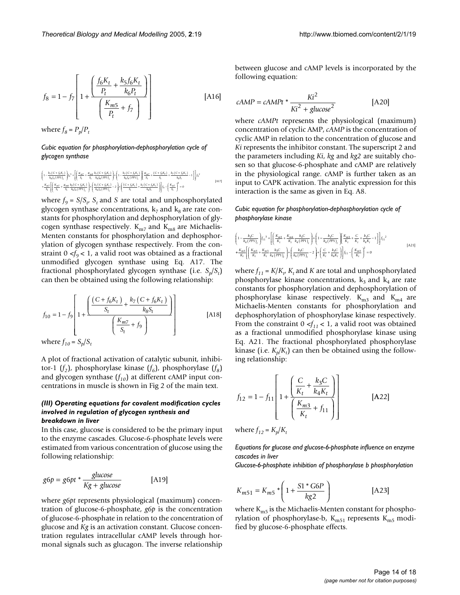$$
f_8 = 1 - f_7 \left[ 1 + \frac{\left( \frac{f_6 K_t}{P_t} + \frac{k_5 f_6 K_t}{k_6 P_t} \right)}{\left( \frac{K_{m5}}{P_t} + f_7 \right)} \right]
$$
 [A16]

where  $f_8 = P_p/P_t$ 

#### *Cubic equation for phosphorylation-dephosphorylation cycle of glycogen synthase*

$$
\begin{cases} 1 - \frac{k_7 \left(G + f_6 K_1 \right)}{k_6 f_4 \left( P P^4 \right)_t} \left[ y_3^3 + \left[ \left( \frac{K_{m7}}{S_t} + \frac{K_{m6}}{S_t} \frac{k_7 \left(G + f_6 K_1 \right)}{k_6 f_4 \left( P P^4 \right)_t} \right) + \left( 1 - \frac{k_7 \left(G + f_6 K_1 \right)}{k_6 f_4 \left( P^4 \right)_t} \right) \frac{K_{m7}}{S_t} + \frac{\left(G + f_6 K_1 \right)}{k_5} + \frac{k_7 \left(G + f_6 K_1 \right)}{k_6 S_t} - 1 \right] \right] \beta^2 \\ + \frac{K_{m7}}{S_c} \bigg[ \left( \frac{K_{m7}}{S_t} + \frac{K_{m6}}{S_t} \frac{k_7 \left(G + f_6 K_1 \right)}{k_6 f_6 \left( P^4 \right)_t} + \left( \frac{k_7 \left(G + f_6 K_1 \right)}{k_6 f_6 \left( P^4 \right)_t} - 2 \right) + \left( \frac{\left(G + f_6 K_1 \right)}{S_t} + \frac{k_7 \left(G + f_6 K_1 \right)}{k_6 S_t} \right) \right] \Big] \beta = \left( \frac{K_{m7}}{S_t} \right)^2 = 0 \end{cases} \tag{A17}
$$

where  $f_9 = S/S_{t}$ ,  $S_t$  and  $S$  are total and unphosphorylated glycogen synthase concentrations,  $k_7$  and  $k_8$  are rate constants for phosphorylation and dephosphorylation of glycogen synthase respectively.  $K_{m7}$  and  $K_{m8}$  are Michaelis-Menten constants for phosphorylation and dephosphorylation of glycogen synthase respectively. From the constraint  $0 \lt f_0 \lt 1$ , a valid root was obtained as a fractional unmodified glycogen synthase using Eq. A17. The fractional phosphorylated glycogen synthase (i.e. S<sub>p</sub>/S<sub>t</sub>) can then be obtained using the following relationship:

$$
f_{10} = 1 - f_9 \left[ 1 + \frac{\left( \frac{(C + f_6 K_t)}{S_t} + \frac{k_7 (C + f_6 K_t)}{k_8 S_t} \right)}{\left( \frac{K_{m7}}{S_t} + f_9 \right)} \right]
$$
 [A18]  
where  $f_{10} = S_p / S_t$ 

A plot of fractional activation of catalytic subunit, inhibitor-1  $(f_2)$ , phosphorylase kinase  $(f_6)$ , phosphorylase  $(f_8)$ and glycogen synthase  $(f_{10})$  at different cAMP input concentrations in muscle is shown in Fig [2](#page-6-0) of the main text.

#### *(III) Operating equations for covalent modification cycles involved in regulation of glycogen synthesis and breakdown in liver*

In this case, glucose is considered to be the primary input to the enzyme cascades. Glucose-6-phosphate levels were estimated from various concentration of glucose using the following relationship:

$$
g6p = g6pt * \frac{glucose}{Kg + glucose}
$$
 [A19]

where *g6pt* represents physiological (maximum) concentration of glucose-6-phosphate, *g6p* is the concentration of glucose-6-phosphate in relation to the concentration of glucose and *Kg* is an activation constant. Glucose concentration regulates intracellular cAMP levels through hormonal signals such as glucagon. The inverse relationship

between glucose and cAMP levels is incorporated by the following equation:

$$
cAMP = cAMPt * \frac{Ki^2}{Ki^2 + glucose^2}
$$
 [A20]

where *cAMPt* represents the physiological (maximum) concentration of cyclic AMP, *cAMP* is the concentration of cyclic AMP in relation to the concentration of glucose and *Ki* represents the inhibitor constant. The superscript 2 and the parameters including *Ki*, *kg* and *kg2* are suitably chosen so that glucose-6-phosphate and cAMP are relatively in the physiological range. cAMP is further taken as an input to CAPK activation. The analytic expression for this interaction is the same as given in Eq. A8.

#### *Cubic equation for phosphorylation-dephosphorylation cycle of phosphorylase kinase*

$$
\begin{cases} 1-\dfrac{k_3C}{k_4\left(P^2\right)_l}\right)\!\!f_{11}{}^3+\Bigg[\Bigg(\dfrac{K_{m3}}{K_l}+\dfrac{K_{m4}}{K_l}\dfrac{k_3C}{k_4\left(P^2\right)_l}\Bigg)+\Bigg(1-\dfrac{k_3C}{k_4\left(P^2\right)_l}\Bigg)\dfrac{K_{m3}}{K_l}+\dfrac{C}{K_l}+\dfrac{k_3C}{k_4k_l}-1\Bigg]\Bigg]\!\!f_{11}{}^2\\ +\dfrac{K_{m3}}{K_l}\Bigg[\bigg(\dfrac{K_{m3}}{K_l}+\dfrac{K_{m3}}{K_l}\dfrac{k_3C}{k_4\left(P^2\right)_l}\bigg)+\Bigg(\dfrac{k_3C}{k_4\left(P^2\right)_l}-2\Bigg)+\Bigg(\dfrac{C}{K_l}+\dfrac{k_3C}{k_4K_l}\Bigg)\Bigg]\!\!f_{11}-\Bigg(\dfrac{K_{m3}}{K_l}\Bigg)^2=0 \end{cases} \eqno[\text{A21}]
$$

where  $f_{11} = K/K_t$ ,  $K_t$  and  $K$  are total and unphosphorylated phosphorylase kinase concentrations,  $k_3$  and  $k_4$  are rate constants for phosphorylation and dephosphorylation of phosphorylase kinase respectively.  $K_{m3}$  and  $K_{m4}$  are Michaelis-Menten constants for phosphorylation and dephosphorylation of phosphorylase kinase respectively. From the constraint  $0 \le f_{11} < 1$ , a valid root was obtained as a fractional unmodified phosphorylase kinase using Eq. A21. The fractional phosphorylated phosphorylase kinase (i.e.  $K_p/K_t$ ) can then be obtained using the following relationship:

$$
f_{12} = 1 - f_{11} \left[ 1 + \frac{\left(\frac{C}{K_t} + \frac{k_3 C}{k_4 K_t}\right)}{\left(\frac{K_{m3}}{K_t} + f_{11}\right)} \right]
$$
 [A22]

## where  $f_{12} = K_p/K_t$

#### *Equations for glucose and glucose-6-phosphate influence on enzyme cascades in liver*

*Glucose-6-phosphate inhibition of phosphorylase b phosphorylation*

$$
K_{m51} = K_{m5} * \left(1 + \frac{S1 * G6P}{kg2}\right)
$$
 [A23]

where  $K_{m5}$  is the Michaelis-Menten constant for phosphorylation of phosphorylase-b,  $K_{m51}$  represents  $K_{m5}$  modified by glucose-6-phosphate effects.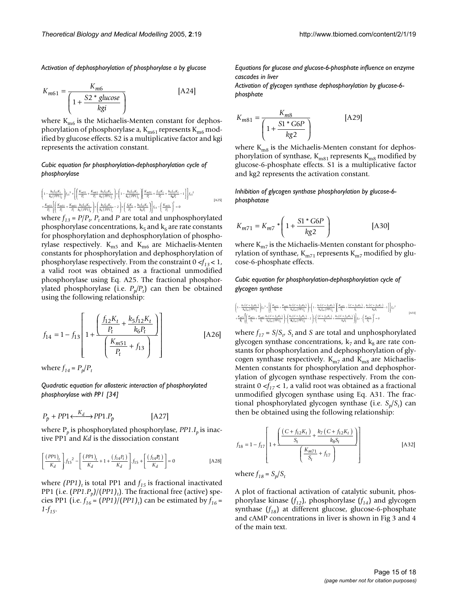*Activation of dephosphorylation of phosphorylase a by glucose*

$$
K_{m61} = \frac{K_{m6}}{\left(1 + \frac{S2 * glucose}{kgi}\right)}
$$
 [A24]

where  $K_{m6}$  is the Michaelis-Menten constant for dephosphorylation of phosphorylase a,  $K_{m61}$  represents  $K_{m6}$  modified by glucose effects. S2 is a multiplicative factor and kgi represents the activation constant.

#### *Cubic equation for phosphorylation-dephosphorylation cycle of phosphorylase*

$$
\begin{aligned} &\left(1-\frac{k_5f_{12}K_t}{k_6\left(PP1\right)_t}\right)f_{13}{}^3+\left[\left(\frac{K_{m51}}{P_t}+\frac{K_{m61}}{P_t}\frac{k_5f_{12}K_t}{k_6\left(PP1\right)_t}\right)+\left(1-\frac{k_5f_{12}K_t}{k_6\left(PP1\right)_t}\right)\frac{K_{m51}}{P_t}+\frac{f_{12}K_t}{P_t}+\frac{k_5f_{12}K_t}{k_6P_t}-1\right]\right)f_{13}{}^2\\ &+\frac{K_{m51}}{P_t}\left[\left(\frac{K_{m51}}{P_t}+\frac{K_{m61}}{P_t}\frac{k_5f_{12}K_t}{k_6\left(PP1\right)_t}\right)+\left(\frac{k_5f_{12}K_t}{k_6\left(PP1\right)_t}-2\right)+\left(\frac{f_6K_t}{P_t}+\frac{k_5f_{12}K_t}{k_6P_t}\right)\right]f_{13}{}^-\left(\frac{K_{m51}}{P_t}\right)^2=0 \end{aligned} \eqno[\text{A25}]
$$

where  $f_{13} = P/P_{t}$ ,  $P_{t}$  and  $P$  are total and unphosphorylated phosphorylase concentrations,  $k_5$  and  $k_6$  are rate constants for phosphorylation and dephosphorylation of phosphorylase respectively.  $K_{m5}$  and  $K_{m6}$  are Michaelis-Menten constants for phosphorylation and dephosphorylation of phosphorylase respectively. From the constraint  $0 < f_{13} < 1$ , a valid root was obtained as a fractional unmodified phosphorylase using Eq. A25. The fractional phosphorylated phosphorylase (i.e.  $P_p/P_t$ ) can then be obtained using the following relationship:

$$
f_{14} = 1 - f_{13} \left[ 1 + \frac{\left( \frac{f_{12}K_t}{P_t} + \frac{k_5 f_{12}K_t}{k_6 P_t} \right)}{\left( \frac{K_{m51}}{P_t} + f_{13} \right)} \right]
$$
 [A26]

where  $f_{14} = P_p/P_t$ 

*Quadratic equation for allosteric interaction of phosphorylated phosphorylase with PP1 [34]*

$$
P_p + PP1 \xleftarrow{K_d} PP1.P_p \qquad [A27]
$$

where  $P_p$  is phosphorylated phosphorylase, *PP1.I<sub>p</sub>* is inactive PP1 and *Kd* is the dissociation constant

$$
\left[\frac{(PP1)_t}{K_d}\right]f_{15}^2 - \left[\frac{(PP1)_t}{K_d} + 1 + \frac{(f_{14}P_t)}{K_d}\right]f_{15} + \left[\frac{(f_{14}P_t)}{K_d}\right] = 0
$$
 [A28]

where  $(PP1)_t$  is total PP1 and  $f_{15}$  is fractional inactivated PP1 (i.e.  $(PP1.P_p)/(PP1)_t$ ). The fractional free (active) species PP1 (i.e.  $f_{16} = (PP1)/(PP1)_t$ ) can be estimated by  $f_{16} =$  $1-f_{15}$ .

*Equations for glucose and glucose-6-phosphate influence on enzyme cascades in liver*

*Activation of glycogen synthase dephosphorylation by glucose-6 phosphate*

$$
K_{m81} = \frac{K_{m8}}{\left(1 + \frac{S1 * G6P}{kg2}\right)}
$$
 [A29]

where  $K_{m8}$  is the Michaelis-Menten constant for dephosphorylation of synthase,  $K_{m81}$  represents  $K_{m8}$  modified by glucose-6-phosphate effects. S1 is a multiplicative factor and kg2 represents the activation constant.

*Inhibition of glycogen synthase phosphorylation by glucose-6 phosphatase*

$$
K_{m71} = K_{m7} * \left(1 + \frac{S1 * G6P}{kg2}\right)
$$
 [A30]

where  $K_{m7}$  is the Michaelis-Menten constant for phosphorylation of synthase,  $K_{m71}$  represents  $K_{m7}$  modified by glucose-6-phosphate effects.

#### *Cubic equation for phosphorylation-dephosphorylation cycle of glycogen synthase*

$$
\begin{cases} 1 - \frac{k_7 \left( C + f_{12} K_1 \right)}{k_8 f_{66} \left( P^2 \mathbf{1} \right)} \int_{\mathbb{T}^2} \mathbf{1}_4 \left[ \left( \frac{K_{mT_1}}{S_1} + \frac{K_{mR_1}}{S_1} \frac{k_7 \left( C + f_{12} K_1 \right)}{S_1} \mathbf{1}_6 \mathbf{1}_7 \mathbf{1}_7 \right) + \left( 1 - \frac{k_7 \left( C + f_{12} K_1 \right)}{k_8 f_{66} \left( P^2 \mathbf{1} \right)} \right) \left( \frac{K_{mT_1}}{S_1} + \frac{\left( C + f_{12} K_1 \right)}{S_2} + \frac{\left( C + f_{12} K_1 \right)}{k_8} \mathbf{1}_6 \right) \left( \frac{K_{mT_1}}{S_1} + \frac{\left( C + f_{12} K_1 \right)}{S_2} \mathbf{1}_7 \mathbf{1}_7 \mathbf{1}_7 \mathbf{1}_8 \mathbf{1}_7 \mathbf{1}_9 \mathbf{1}_9 \mathbf{1}_1 \mathbf{1}_1 \mathbf{1}_1 \mathbf{1}_1 \mathbf{1}_1 \mathbf{1}_1 \mathbf{1}_1 \mathbf{1}_1 \mathbf{1}_1 \mathbf{1}_1 \mathbf{1}_1 \mathbf{1}_1 \mathbf{1}_1 \mathbf{1}_1 \mathbf{1}_1 \mathbf{1}_1 \mathbf{1}_1 \mathbf{1}_1 \mathbf{1}_1 \mathbf{1}_1 \mathbf{1}_1 \mathbf{1}_1 \mathbf{1}_1 \mathbf{1}_1 \mathbf{1}_1 \mathbf{1}_1 \mathbf{1}_1 \mathbf{1}_1 \mathbf{1}_1 \mathbf{1}_1 \mathbf{1}_1 \mathbf{1}_1 \mathbf{1}_1 \mathbf{1}_1 \mathbf{1}_1 \mathbf{1}_1 \mathbf{1}_1 \mathbf{1}_1 \mathbf{1}_1 \mathbf{1}_1 \mathbf{1}_1 \mathbf{1}_1 \mathbf{1}_1 \mathbf{1}_1 \mathbf{1}_1 \mathbf{1}_1 \mathbf{1}_1 \mathbf{1}_1 \mathbf{1}_1 \mathbf{1}_1 \mathbf{1}_1 \mathbf{1}_1 \mathbf{1}_1 \mathbf{1}_1 \math
$$

where  $f_{17} = S/S_{t}$ ,  $S_t$  and *S* are total and unphosphorylated glycogen synthase concentrations,  $k_7$  and  $k_8$  are rate constants for phosphorylation and dephosphorylation of glycogen synthase respectively.  $K_{m7}$  and  $K_{m8}$  are Michaelis-Menten constants for phosphorylation and dephosphorylation of glycogen synthase respectively. From the constraint  $0 \le f_{17} < 1$ , a valid root was obtained as a fractional unmodified glycogen synthase using Eq. A31. The fractional phosphorylated glycogen synthase (i.e.  $S_p/S_t$ ) can then be obtained using the following relationship:

$$
f_{18} = 1 - f_{17} \left[ 1 + \frac{\left( \frac{(C + f_{12}K_t)}{S_t} + \frac{k_7 (C + f_{12}K_t)}{k_8 S_t} \right)}{\left( \frac{K_{m71}}{S_t} + f_{17} \right)} \right]
$$
 [A32]

where  $f_{18} = S_p/S_t$ 

A plot of fractional activation of catalytic subunit, phosphorylase kinase  $(f_{12})$ , phosphorylase  $(f_{14})$  and glycogen synthase  $(f_{18})$  at different glucose, glucose-6-phosphate and cAMP concentrations in liver is shown in Fig 3 and 4 of the main text.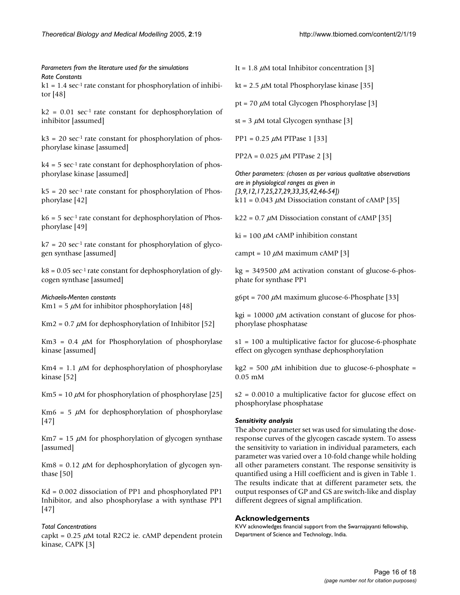*Parameters from the literature used for the simulations Rate Constants*

 $k1 = 1.4$  sec<sup>-1</sup> rate constant for phosphorylation of inhibitor [48]

 $k2 = 0.01$  sec<sup>-1</sup> rate constant for dephosphorylation of inhibitor [assumed]

 $k3 = 20$  sec<sup>-1</sup> rate constant for phosphorylation of phosphorylase kinase [assumed]

 $k4 = 5$  sec<sup>-1</sup> rate constant for dephosphorylation of phosphorylase kinase [assumed]

 $k5 = 20$  sec<sup>-1</sup> rate constant for phosphorylation of Phosphorylase [42]

 $k6 = 5$  sec<sup>-1</sup> rate constant for dephosphorylation of Phosphorylase [49]

 $k7 = 20$  sec<sup>-1</sup> rate constant for phosphorylation of glycogen synthase [assumed]

 $k8 = 0.05$  sec<sup>-1</sup> rate constant for dephosphorylation of glycogen synthase [assumed]

*Michaelis-Menten constants* Km1 = 5  $\mu$ M for inhibitor phosphorylation [48]

 $Km2 = 0.7 \mu M$  for dephosphorylation of Inhibitor [52]

 $Km3 = 0.4$   $\mu$ M for Phosphorylation of phosphorylase kinase [assumed]

Km4 = 1.1  $\mu$ M for dephosphorylation of phosphorylase kinase [52]

 $Km5 = 10 \mu M$  for phosphorylation of phosphorylase [25]

Km6 = 5  $\mu$ M for dephosphorylation of phosphorylase [47]

 $Km7 = 15 \mu M$  for phosphorylation of glycogen synthase [assumed]

 $Km8 = 0.12 \mu M$  for dephosphorylation of glycogen synthase [50]

Kd = 0.002 dissociation of PP1 and phosphorylated PP1 Inhibitor, and also phosphorylase a with synthase PP1 [47]

# *Total Concentrations*

capkt =  $0.25 \mu M$  total R2C2 ie. cAMP dependent protein kinase, CAPK [3]

It = 1.8  $\mu$ M total Inhibitor concentration [3]

kt = 2.5  $\mu$ M total Phosphorylase kinase [35]

pt = 70  $\mu$ M total Glycogen Phosphorylase [3]

st = 3  $\mu$ M total Glycogen synthase [3]

PP1 =  $0.25 \mu M$  PTPase 1 [33]

PP2A =  $0.025 \mu M$  PTPase 2 [3]

*Other parameters: (chosen as per various qualitative observations are in physiological ranges as given in [3,9,12,17,25,27,29,33,35,42,46-54])* k11 = 0.043  $\mu$ M Dissociation constant of cAMP [35]

 $k22 = 0.7 \mu M$  Dissociation constant of cAMP [35]

ki = 100  $\mu$ M cAMP inhibition constant

campt = 10  $\mu$ M maximum cAMP [3]

 $kg = 349500 \mu M$  activation constant of glucose-6-phosphate for synthase PP1

 $g6pt = 700 \mu M$  maximum glucose-6-Phosphate [33]

kgi = 10000  $\mu$ M activation constant of glucose for phosphorylase phosphatase

s1 = 100 a multiplicative factor for glucose-6-phosphate effect on glycogen synthase dephosphorylation

 $kg2 = 500 \mu M$  inhibition due to glucose-6-phosphate = 0.05 mM

s2 = 0.0010 a multiplicative factor for glucose effect on phosphorylase phosphatase

# *Sensitivity analysis*

The above parameter set was used for simulating the doseresponse curves of the glycogen cascade system. To assess the sensitivity to variation in individual parameters, each parameter was varied over a 10-fold change while holding all other parameters constant. The response sensitivity is quantified using a Hill coefficient and is given in Table [1.](#page-5-0) The results indicate that at different parameter sets, the output responses of GP and GS are switch-like and display different degrees of signal amplification.

# **Acknowledgements**

KVV acknowledges financial support from the Swarnajayanti fellowship, Department of Science and Technology, India.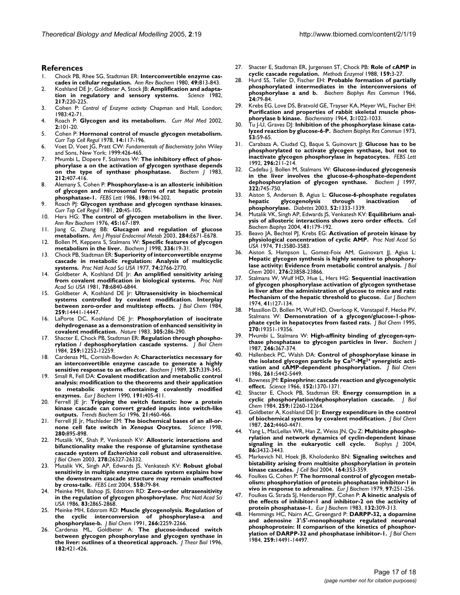#### **References**

- 1. Chock PB, Rhee SG, Stadtman ER: **[Interconvertible enzyme cas](http://www.ncbi.nlm.nih.gov/entrez/query.fcgi?cmd=Retrieve&db=PubMed&dopt=Abstract&list_uids=6105843)[cades in cellular regulation.](http://www.ncbi.nlm.nih.gov/entrez/query.fcgi?cmd=Retrieve&db=PubMed&dopt=Abstract&list_uids=6105843)** *Ann Rev Biochem* 1980, **49:**813-843.
- 2. Koshland DE Jr, Goldbeter A, Stock JB: **[Amplification and adapta](http://www.ncbi.nlm.nih.gov/entrez/query.fcgi?cmd=Retrieve&db=PubMed&dopt=Abstract&list_uids=7089556)[tion in regulatory and sensory systems.](http://www.ncbi.nlm.nih.gov/entrez/query.fcgi?cmd=Retrieve&db=PubMed&dopt=Abstract&list_uids=7089556)** *Science* 1982, **217:**220-225.
- 3. Cohen P: *Control of Enzyme activity* Chapman and Hall, London; 1983:42-71.
- 4. Roach P: **[Glycogen and its metabolism.](http://www.ncbi.nlm.nih.gov/entrez/query.fcgi?cmd=Retrieve&db=PubMed&dopt=Abstract&list_uids=11949930)** *Curr Mol Med* 2002, **2:**101-20.
- 5. Cohen P: **[Hormonal control of muscle glycogen metabolism.](http://www.ncbi.nlm.nih.gov/entrez/query.fcgi?cmd=Retrieve&db=PubMed&dopt=Abstract&list_uids=215384)** *Curr Top Cell Regul* 1978, **14:**117-196.
- 6. Voet D, Voet JG, Pratt CW: *Fundamentals of Biochemistry* John Wiley and Sons, New York; 1999:426-465.
- 7. Mvumbi L, Dopere F, Stalmans W: **[The inhibitory effect of phos](http://www.ncbi.nlm.nih.gov/entrez/query.fcgi?cmd=Retrieve&db=PubMed&dopt=Abstract&list_uids=6309142)[phorylase a on the activation of glycogen synthase depends](http://www.ncbi.nlm.nih.gov/entrez/query.fcgi?cmd=Retrieve&db=PubMed&dopt=Abstract&list_uids=6309142) [on the type of synthase phosphatase.](http://www.ncbi.nlm.nih.gov/entrez/query.fcgi?cmd=Retrieve&db=PubMed&dopt=Abstract&list_uids=6309142)** *Biochem J* 1983, **212:**407-416.
- 8. Alemany S, Cohen P: **[Phosphorylase-a is an allosteric inhibition](http://www.ncbi.nlm.nih.gov/entrez/query.fcgi?cmd=Retrieve&db=PubMed&dopt=Abstract&list_uids=3007211) [of glycogen and microsomal forms of rat hepatic protein](http://www.ncbi.nlm.nih.gov/entrez/query.fcgi?cmd=Retrieve&db=PubMed&dopt=Abstract&list_uids=3007211) [phosphatase-1.](http://www.ncbi.nlm.nih.gov/entrez/query.fcgi?cmd=Retrieve&db=PubMed&dopt=Abstract&list_uids=3007211)** *FEBS Lett* 1986, **198:**194-202.
- 9. Roach PJ: **[Glycogen synthase and glycogen synthase kinases.](http://www.ncbi.nlm.nih.gov/entrez/query.fcgi?cmd=Retrieve&db=PubMed&dopt=Abstract&list_uids=6276084)** *Curr Top Cell Regul* 1981, **20:**45-105.
- 10. Hers HG: **[The control of glycogen metabolism in the liver.](http://www.ncbi.nlm.nih.gov/entrez/query.fcgi?cmd=Retrieve&db=PubMed&dopt=Abstract&list_uids=183599)** *Ann Rev Biochem* 1976, **45:**167-189.
- Jiang G, Zhang BB: [Glucagon and regulation of glucose](http://www.ncbi.nlm.nih.gov/entrez/query.fcgi?cmd=Retrieve&db=PubMed&dopt=Abstract&list_uids=12626323) **[metabolism.](http://www.ncbi.nlm.nih.gov/entrez/query.fcgi?cmd=Retrieve&db=PubMed&dopt=Abstract&list_uids=12626323)** *Am J Physiol Endocrinol Metab* 2003, **284:**E671-E678.
- 12. Bollen M, Keppens S, Stalmans W: **[Specific features of glycogen](http://www.ncbi.nlm.nih.gov/entrez/query.fcgi?cmd=Retrieve&db=PubMed&dopt=Abstract&list_uids=9806880) [metabolism in the liver.](http://www.ncbi.nlm.nih.gov/entrez/query.fcgi?cmd=Retrieve&db=PubMed&dopt=Abstract&list_uids=9806880)** *Biochem J* 1998, **336:**19-31.
- 13. Chock PB, Stadtman ER: **[Superiority of interconvertible enzyme](http://www.ncbi.nlm.nih.gov/entrez/query.fcgi?cmd=Retrieve&db=PubMed&dopt=Abstract&list_uids=19739) [cascade in metabolic regulation: Analysis of multicyclic](http://www.ncbi.nlm.nih.gov/entrez/query.fcgi?cmd=Retrieve&db=PubMed&dopt=Abstract&list_uids=19739) [systems.](http://www.ncbi.nlm.nih.gov/entrez/query.fcgi?cmd=Retrieve&db=PubMed&dopt=Abstract&list_uids=19739)** *Proc Natl Acad Sci USA* 1977, **74:**2766-2770.
- 14. Goldbeter A, Koshland DE Jr: **[An amplified sensitivity arising](http://www.ncbi.nlm.nih.gov/entrez/query.fcgi?cmd=Retrieve&db=PubMed&dopt=Abstract&list_uids=6947258) [from covalent modification in biological systems.](http://www.ncbi.nlm.nih.gov/entrez/query.fcgi?cmd=Retrieve&db=PubMed&dopt=Abstract&list_uids=6947258)** *Proc Natl Acad Sci USA* 1981, **78:**6840-6844.
- 15. Goldbeter A, Koshland DE Jr: **[Ultrasensitivity in biochemical](http://www.ncbi.nlm.nih.gov/entrez/query.fcgi?cmd=Retrieve&db=PubMed&dopt=Abstract&list_uids=6501300) [systems controlled by covalent modification. Interplay](http://www.ncbi.nlm.nih.gov/entrez/query.fcgi?cmd=Retrieve&db=PubMed&dopt=Abstract&list_uids=6501300) [between zero-order and multistep effects.](http://www.ncbi.nlm.nih.gov/entrez/query.fcgi?cmd=Retrieve&db=PubMed&dopt=Abstract&list_uids=6501300)** *J Biol Chem* 1984, **259:**14441-14447.
- 16. LaPorte DC, Koshland DE Jr: **[Phosphorylation of isocitrate](http://www.ncbi.nlm.nih.gov/entrez/query.fcgi?cmd=Retrieve&db=PubMed&dopt=Abstract&list_uids=6312317) [dehydrogenase as a demonstration of enhanced sensitivity in](http://www.ncbi.nlm.nih.gov/entrez/query.fcgi?cmd=Retrieve&db=PubMed&dopt=Abstract&list_uids=6312317) [covalent modification.](http://www.ncbi.nlm.nih.gov/entrez/query.fcgi?cmd=Retrieve&db=PubMed&dopt=Abstract&list_uids=6312317)** *Nature* 1983, **305:**286-290.
- 17. Shacter E, Chock PB, Stadtman ER: **[Regulation through phospho](http://www.ncbi.nlm.nih.gov/entrez/query.fcgi?cmd=Retrieve&db=PubMed&dopt=Abstract&list_uids=6090462)[rylation / dephosphorylation cascade systems.](http://www.ncbi.nlm.nih.gov/entrez/query.fcgi?cmd=Retrieve&db=PubMed&dopt=Abstract&list_uids=6090462)** *J Biol Chem* 1984, **259:**12252-12259.
- 18. Cardenas ML, Cornish-Bowden A: **[Characteristics necessary for](http://www.ncbi.nlm.nih.gov/entrez/query.fcgi?cmd=Retrieve&db=PubMed&dopt=Abstract&list_uids=2930453) [an interconvertible enzyme cascade to generate a highly](http://www.ncbi.nlm.nih.gov/entrez/query.fcgi?cmd=Retrieve&db=PubMed&dopt=Abstract&list_uids=2930453) [sensitive response to an effector.](http://www.ncbi.nlm.nih.gov/entrez/query.fcgi?cmd=Retrieve&db=PubMed&dopt=Abstract&list_uids=2930453)** *Biochem J* 1989, **257:**339-345.
- 19. Small R, Fell DA: **[Covalent modification and metabolic control](http://www.ncbi.nlm.nih.gov/entrez/query.fcgi?cmd=Retrieve&db=PubMed&dopt=Abstract&list_uids=2384088) [analysis: modification to the theorems and their application](http://www.ncbi.nlm.nih.gov/entrez/query.fcgi?cmd=Retrieve&db=PubMed&dopt=Abstract&list_uids=2384088) to metabolic systems containing covalently modified [enzymes.](http://www.ncbi.nlm.nih.gov/entrez/query.fcgi?cmd=Retrieve&db=PubMed&dopt=Abstract&list_uids=2384088)** *Eur J Biochem* 1990, **191:**405-411.
- 20. Ferrell JE Jr: **[Tripping the switch fantastic: how a protein](http://www.ncbi.nlm.nih.gov/entrez/query.fcgi?cmd=Retrieve&db=PubMed&dopt=Abstract&list_uids=9009826) [kinase cascade can convert graded inputs into switch-like](http://www.ncbi.nlm.nih.gov/entrez/query.fcgi?cmd=Retrieve&db=PubMed&dopt=Abstract&list_uids=9009826) [outputs.](http://www.ncbi.nlm.nih.gov/entrez/query.fcgi?cmd=Retrieve&db=PubMed&dopt=Abstract&list_uids=9009826)** *Trends Biochem Sci* 1996, **21:**460-466.
- 21. Ferrell JE Jr, Machleder EM: **The biochemical bases of an all-ornone cell fate switch in** *Xenopus* **[Oocytes.](http://www.ncbi.nlm.nih.gov/entrez/query.fcgi?cmd=Retrieve&db=PubMed&dopt=Abstract&list_uids=9572732)** *Science* 1998, **280:**895-898.
- 22. Mutalik VK, Shah P, Venkatesh KV: **Allosteric interactions and bifunctionality make the response of glutamine synthetase cascade system of** *Escherichia coli* **[robust and ultrasensitive.](http://www.ncbi.nlm.nih.gov/entrez/query.fcgi?cmd=Retrieve&db=PubMed&dopt=Abstract&list_uids=12676964)** *J Biol Chem* 2003, **278:**26327-26332.
- 23. Mutalik VK, Singh AP, Edwards JS, Venkatesh KV: **[Robust global](http://www.ncbi.nlm.nih.gov/entrez/query.fcgi?cmd=Retrieve&db=PubMed&dopt=Abstract&list_uids=14759520) [sensitivity in multiple enzyme cascade system explains how](http://www.ncbi.nlm.nih.gov/entrez/query.fcgi?cmd=Retrieve&db=PubMed&dopt=Abstract&list_uids=14759520) the downstream cascade structure may remain unaffected [by cross-talk.](http://www.ncbi.nlm.nih.gov/entrez/query.fcgi?cmd=Retrieve&db=PubMed&dopt=Abstract&list_uids=14759520)** *FEBS Lett* 2004, **558:**79-84.
- 24. Meinke MH, Bishop JS, Edstrom RD: **[Zero-order ultrasensitivity](http://www.ncbi.nlm.nih.gov/entrez/query.fcgi?cmd=Retrieve&db=PubMed&dopt=Abstract&list_uids=3458247) [in the regulation of glycogen phosphorylase.](http://www.ncbi.nlm.nih.gov/entrez/query.fcgi?cmd=Retrieve&db=PubMed&dopt=Abstract&list_uids=3458247)** *Proc Natl Acad Sci USA* 1986, **83:**2865-2868.
- 25. Meinke MH, Edstrom RD: **[Muscle glycogenolysis. Regulation of](http://www.ncbi.nlm.nih.gov/entrez/query.fcgi?cmd=Retrieve&db=PubMed&dopt=Abstract&list_uids=1899238) [the cyclic interconversion of phosphorylase-a and](http://www.ncbi.nlm.nih.gov/entrez/query.fcgi?cmd=Retrieve&db=PubMed&dopt=Abstract&list_uids=1899238) [phosphorylase-b.](http://www.ncbi.nlm.nih.gov/entrez/query.fcgi?cmd=Retrieve&db=PubMed&dopt=Abstract&list_uids=1899238)** *J Biol Chem* 1991, **266:**2259-2266.
- 26. Cardenas ML, Goldbeter A: **[The glucose-induced switch](http://www.ncbi.nlm.nih.gov/entrez/query.fcgi?cmd=Retrieve&db=PubMed&dopt=Abstract&list_uids=8944176) [between glycogen phosphorylase and glycogen synthase in](http://www.ncbi.nlm.nih.gov/entrez/query.fcgi?cmd=Retrieve&db=PubMed&dopt=Abstract&list_uids=8944176) [the liver: outlines of a theoretical approach.](http://www.ncbi.nlm.nih.gov/entrez/query.fcgi?cmd=Retrieve&db=PubMed&dopt=Abstract&list_uids=8944176)** *J Theor Biol* 1996, **182:**421-426.
- 27. Shacter E, Stadtman ER, Jurgensen ST, Chock PB: **[Role of cAMP in](http://www.ncbi.nlm.nih.gov/entrez/query.fcgi?cmd=Retrieve&db=PubMed&dopt=Abstract&list_uids=2842598) [cyclic cascade regulation.](http://www.ncbi.nlm.nih.gov/entrez/query.fcgi?cmd=Retrieve&db=PubMed&dopt=Abstract&list_uids=2842598)** *Methods Enzymol* 1988, **159:**3-27.
- 28. Hurd SS, Teller D, Fischer EH: **[Probable formation of partially](http://www.ncbi.nlm.nih.gov/entrez/query.fcgi?cmd=Retrieve&db=PubMed&dopt=Abstract&list_uids=5966397) [phosphorylated intermediates in the interconversions of](http://www.ncbi.nlm.nih.gov/entrez/query.fcgi?cmd=Retrieve&db=PubMed&dopt=Abstract&list_uids=5966397) [phosphorylase a and b.](http://www.ncbi.nlm.nih.gov/entrez/query.fcgi?cmd=Retrieve&db=PubMed&dopt=Abstract&list_uids=5966397)** *Biochem Biophys Res Commun* 1966, **24:**79-84.
- 29. Krebs EG, Love DS, Bratvold GE, Trayser KA, Meyer WL, Fischer EH: **Purification and properties of rabbit skeletal muscle phosphorylase b kinase.** *Biochemistry* 1964, **3:**1022-1033.
- Tu J-U, Graves DJ: [Inhibition of the phosphorylase kinase cata](http://www.ncbi.nlm.nih.gov/entrez/query.fcgi?cmd=Retrieve&db=PubMed&dopt=Abstract&list_uids=4741557)**[lyzed reaction by glucose-6-P.](http://www.ncbi.nlm.nih.gov/entrez/query.fcgi?cmd=Retrieve&db=PubMed&dopt=Abstract&list_uids=4741557)** *Biochem Biophys Res Commun* 1973, **53:**59-65.
- 31. Carabaza A, Ciudad CJ, Baque S, Guinovart JJ: **[Glucose has to be](http://www.ncbi.nlm.nih.gov/entrez/query.fcgi?cmd=Retrieve&db=PubMed&dopt=Abstract&list_uids=1733780) [phosphorylated to activate glycogen synthase, but not to](http://www.ncbi.nlm.nih.gov/entrez/query.fcgi?cmd=Retrieve&db=PubMed&dopt=Abstract&list_uids=1733780) [inactivate glycogen phosphorylase in hepatocytes.](http://www.ncbi.nlm.nih.gov/entrez/query.fcgi?cmd=Retrieve&db=PubMed&dopt=Abstract&list_uids=1733780)** *FEBS Lett* 1992, **296:**211-214.
- 32. Cadefau J, Bollen M, Stalmans W: **[Glucose-induced glycogenesis](http://www.ncbi.nlm.nih.gov/entrez/query.fcgi?cmd=Retrieve&db=PubMed&dopt=Abstract&list_uids=9148744) [in the liver involves the glucose-6-phosphate-dependent](http://www.ncbi.nlm.nih.gov/entrez/query.fcgi?cmd=Retrieve&db=PubMed&dopt=Abstract&list_uids=9148744) [dephosphorylation of glycogen synthase.](http://www.ncbi.nlm.nih.gov/entrez/query.fcgi?cmd=Retrieve&db=PubMed&dopt=Abstract&list_uids=9148744)** *Biochem J* 1997, **322:**745-750.
- 33. Aiston S, Andersen B, Agius L: **[Glucose-6-phosphate regulates](http://www.ncbi.nlm.nih.gov/entrez/query.fcgi?cmd=Retrieve&db=PubMed&dopt=Abstract&list_uids=12765941)** glycogenolysis **[phosphorylase.](http://www.ncbi.nlm.nih.gov/entrez/query.fcgi?cmd=Retrieve&db=PubMed&dopt=Abstract&list_uids=12765941)** *Diabetes* 2003, **52:**1333-1339.
- 34. Mutalik VK, Singh AP, Edwards JS, Venkatesh KV: **[Equilibrium anal](http://www.ncbi.nlm.nih.gov/entrez/query.fcgi?cmd=Retrieve&db=PubMed&dopt=Abstract&list_uids=15475608)[ysis of allosteric interactions shows zero order effects.](http://www.ncbi.nlm.nih.gov/entrez/query.fcgi?cmd=Retrieve&db=PubMed&dopt=Abstract&list_uids=15475608)** *Cell Biochem Biophys* 2004, **41:**179-192.
- Beavo JA, Bechtel PJ, Krebs EG: [Activation of protein kinase by](http://www.ncbi.nlm.nih.gov/entrez/query.fcgi?cmd=Retrieve&db=PubMed&dopt=Abstract&list_uids=4372627) **[physiological concentration of cyclic AMP.](http://www.ncbi.nlm.nih.gov/entrez/query.fcgi?cmd=Retrieve&db=PubMed&dopt=Abstract&list_uids=4372627)** *Proc Natl Acad Sci USA* 1974, **71:**3580-3583.
- 36. Aiston S, Hampson L, Gomez-Foix AM, Guinovart JJ, Agius L: **[Hepatic glycogen synthesis is highly sensitive to phosphory](http://www.ncbi.nlm.nih.gov/entrez/query.fcgi?cmd=Retrieve&db=PubMed&dopt=Abstract&list_uids=11309391)[lase activity: Evidence from metabolic control analysis.](http://www.ncbi.nlm.nih.gov/entrez/query.fcgi?cmd=Retrieve&db=PubMed&dopt=Abstract&list_uids=11309391)** *J Biol Chem* 2001, **276:**23858-23866.
- 37. Stalmans W, Wulf HD, Hue L, Hers HG: **Sequential inactivation of glycogen phosphorylase activation of glycogen synthetase in liver after the administration of glucose to mice and rats: Mechanism of the hepatic threshold to glucose.** *Eur J Biochem* 1974, **41:**127-134.
- 38. Massillon D, Bollen M, Wulf HD, Overloop K, Vanstapel F, Hecke PV, Stalmans W: **[Demonstration of a glycogen/glucose-1-phos](http://www.ncbi.nlm.nih.gov/entrez/query.fcgi?cmd=Retrieve&db=PubMed&dopt=Abstract&list_uids=7642613)[phate cycle in hepatocytes from fasted rats.](http://www.ncbi.nlm.nih.gov/entrez/query.fcgi?cmd=Retrieve&db=PubMed&dopt=Abstract&list_uids=7642613)** *J Biol Chem* 1995, **270:**19351-19356.
- 39. Mvumbi L, Stalmans W: **[High-affinity binding of glycogen-syn](http://www.ncbi.nlm.nih.gov/entrez/query.fcgi?cmd=Retrieve&db=PubMed&dopt=Abstract&list_uids=2825634)[thase phosphatase to glycogen particles in liver.](http://www.ncbi.nlm.nih.gov/entrez/query.fcgi?cmd=Retrieve&db=PubMed&dopt=Abstract&list_uids=2825634)** *Biochem J* 1987, **246:**367-374.
- <span id="page-16-0"></span>40. Hallenbeck PC, Walsh DA: **Control of phosphorylase kinase in the isolated glycogen particle by Ca2+-Mg2+ [synergistic acti](http://www.ncbi.nlm.nih.gov/entrez/query.fcgi?cmd=Retrieve&db=PubMed&dopt=Abstract&list_uids=3007504)[vation and cAMP-dependent phosphorylation.](http://www.ncbi.nlm.nih.gov/entrez/query.fcgi?cmd=Retrieve&db=PubMed&dopt=Abstract&list_uids=3007504)** *J Biol Chem* 1986, **261:**5442-5449.
- 41. Bowness JM: **[Epinephrine: cascade reaction and glycogenolytic](http://www.ncbi.nlm.nih.gov/entrez/query.fcgi?cmd=Retrieve&db=PubMed&dopt=Abstract&list_uids=5937126) [effect.](http://www.ncbi.nlm.nih.gov/entrez/query.fcgi?cmd=Retrieve&db=PubMed&dopt=Abstract&list_uids=5937126)** *Science* 1966, **152:**1370-1371.
- 42. Shacter E, Chock PB, Stadtman ER: **[Energy consumption in a](http://www.ncbi.nlm.nih.gov/entrez/query.fcgi?cmd=Retrieve&db=PubMed&dopt=Abstract&list_uids=6090463) [cyclic phosphorylation/dephosphorylation cascade.](http://www.ncbi.nlm.nih.gov/entrez/query.fcgi?cmd=Retrieve&db=PubMed&dopt=Abstract&list_uids=6090463)** *J Biol Chem* 1984, **259:**12260-12264.
- 43. Goldbeter A, Koshland DE Jr: **[Energy expenditure in the control](http://www.ncbi.nlm.nih.gov/entrez/query.fcgi?cmd=Retrieve&db=PubMed&dopt=Abstract&list_uids=3558349) [of biochemical systems by covalent modification.](http://www.ncbi.nlm.nih.gov/entrez/query.fcgi?cmd=Retrieve&db=PubMed&dopt=Abstract&list_uids=3558349)** *J Biol Chem* 1987, **262:**4460-4471.
- 44. Yang L, MacLellan WR, Han Z, Weiss JN, Qu Z: **[Multisite phospho](http://www.ncbi.nlm.nih.gov/entrez/query.fcgi?cmd=Retrieve&db=PubMed&dopt=Abstract&list_uids=15189845)[rylation and network dynamics of cyclin-dependent kinase](http://www.ncbi.nlm.nih.gov/entrez/query.fcgi?cmd=Retrieve&db=PubMed&dopt=Abstract&list_uids=15189845)** [signaling in the eukaryotic cell cycle.](http://www.ncbi.nlm.nih.gov/entrez/query.fcgi?cmd=Retrieve&db=PubMed&dopt=Abstract&list_uids=15189845) **86:**3432-3443.
- 45. Markevich NI, Hoek JB, Kholodenko BN: **[Signaling switches and](http://www.ncbi.nlm.nih.gov/entrez/query.fcgi?cmd=Retrieve&db=PubMed&dopt=Abstract&list_uids=14744999) [bistability arising from multisite phosphorylation in protein](http://www.ncbi.nlm.nih.gov/entrez/query.fcgi?cmd=Retrieve&db=PubMed&dopt=Abstract&list_uids=14744999) [kinase cascades.](http://www.ncbi.nlm.nih.gov/entrez/query.fcgi?cmd=Retrieve&db=PubMed&dopt=Abstract&list_uids=14744999)** *J Cell Biol* 2004, **164:**353-359.
- 46. Foulkes G, Cohen P: **[The hormonal control of glycogen metab](http://www.ncbi.nlm.nih.gov/entrez/query.fcgi?cmd=Retrieve&db=PubMed&dopt=Abstract&list_uids=225171)[olism: phosphorylation of protein phosphatase inhibitor-1 in](http://www.ncbi.nlm.nih.gov/entrez/query.fcgi?cmd=Retrieve&db=PubMed&dopt=Abstract&list_uids=225171) [vivo in response to adrenaline.](http://www.ncbi.nlm.nih.gov/entrez/query.fcgi?cmd=Retrieve&db=PubMed&dopt=Abstract&list_uids=225171)** *Eur J Biochem* 1979, **97:**251-256.
- 47. Foulkes G, Strada SJ, Henderson PJF, Cohen P: **[A kinetic analysis of](http://www.ncbi.nlm.nih.gov/entrez/query.fcgi?cmd=Retrieve&db=PubMed&dopt=Abstract&list_uids=6301830) [the effects of inhibitor-1 and inhibitor-2 on the activity of](http://www.ncbi.nlm.nih.gov/entrez/query.fcgi?cmd=Retrieve&db=PubMed&dopt=Abstract&list_uids=6301830) [protein phosphatase-1.](http://www.ncbi.nlm.nih.gov/entrez/query.fcgi?cmd=Retrieve&db=PubMed&dopt=Abstract&list_uids=6301830)** *Eur J Biochem* 1983, **132:**309-313.
- 48. Hemmings HC, Nairn AC, Greengard P: **[DARPP-32, a dopamine](http://www.ncbi.nlm.nih.gov/entrez/query.fcgi?cmd=Retrieve&db=PubMed&dopt=Abstract&list_uids=6501303) and adenosine 3':5'-monophosphate regulated neuronal [phosphoprotein: II comparison of the kinetics of phosphor](http://www.ncbi.nlm.nih.gov/entrez/query.fcgi?cmd=Retrieve&db=PubMed&dopt=Abstract&list_uids=6501303)[ylation of DARPP-32 and phosphatase inhibitor-1.](http://www.ncbi.nlm.nih.gov/entrez/query.fcgi?cmd=Retrieve&db=PubMed&dopt=Abstract&list_uids=6501303)** *J Biol Chem* 1984, **259:**14491-14497.